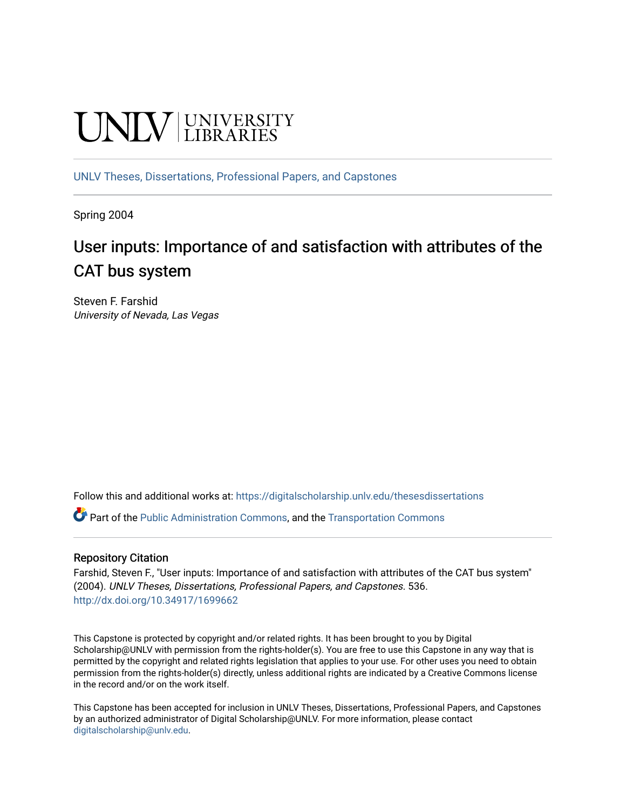# **UNIVERSITY**

[UNLV Theses, Dissertations, Professional Papers, and Capstones](https://digitalscholarship.unlv.edu/thesesdissertations)

Spring 2004

# User inputs: Importance of and satisfaction with attributes of the CAT bus system

Steven F. Farshid University of Nevada, Las Vegas

Follow this and additional works at: [https://digitalscholarship.unlv.edu/thesesdissertations](https://digitalscholarship.unlv.edu/thesesdissertations?utm_source=digitalscholarship.unlv.edu%2Fthesesdissertations%2F536&utm_medium=PDF&utm_campaign=PDFCoverPages)

Part of the [Public Administration Commons](http://network.bepress.com/hgg/discipline/398?utm_source=digitalscholarship.unlv.edu%2Fthesesdissertations%2F536&utm_medium=PDF&utm_campaign=PDFCoverPages), and the [Transportation Commons](http://network.bepress.com/hgg/discipline/1068?utm_source=digitalscholarship.unlv.edu%2Fthesesdissertations%2F536&utm_medium=PDF&utm_campaign=PDFCoverPages)

#### Repository Citation

Farshid, Steven F., "User inputs: Importance of and satisfaction with attributes of the CAT bus system" (2004). UNLV Theses, Dissertations, Professional Papers, and Capstones. 536. <http://dx.doi.org/10.34917/1699662>

This Capstone is protected by copyright and/or related rights. It has been brought to you by Digital Scholarship@UNLV with permission from the rights-holder(s). You are free to use this Capstone in any way that is permitted by the copyright and related rights legislation that applies to your use. For other uses you need to obtain permission from the rights-holder(s) directly, unless additional rights are indicated by a Creative Commons license in the record and/or on the work itself.

This Capstone has been accepted for inclusion in UNLV Theses, Dissertations, Professional Papers, and Capstones by an authorized administrator of Digital Scholarship@UNLV. For more information, please contact [digitalscholarship@unlv.edu](mailto:digitalscholarship@unlv.edu).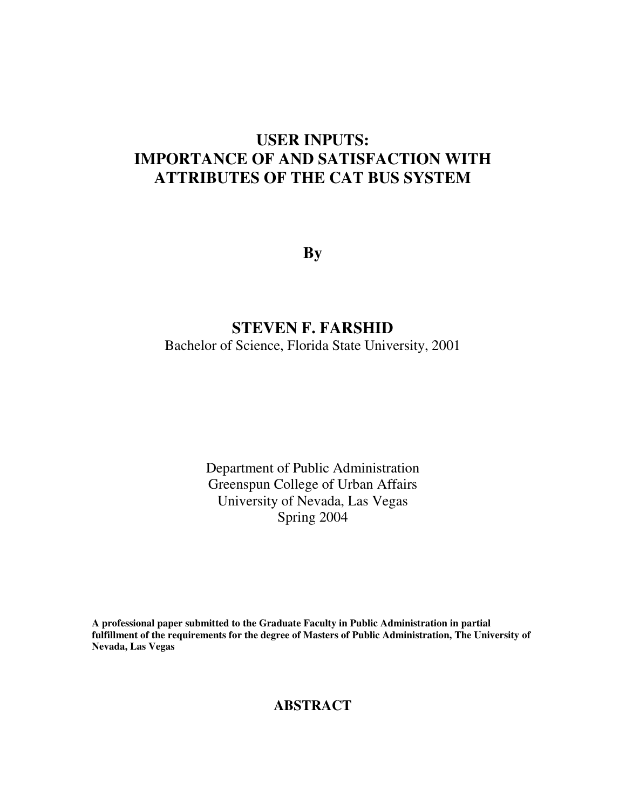# **USER INPUTS: IMPORTANCE OF AND SATISFACTION WITH ATTRIBUTES OF THE CAT BUS SYSTEM**

**By** 

## **STEVEN F. FARSHID**

Bachelor of Science, Florida State University, 2001

Department of Public Administration Greenspun College of Urban Affairs University of Nevada, Las Vegas Spring 2004

**A professional paper submitted to the Graduate Faculty in Public Administration in partial fulfillment of the requirements for the degree of Masters of Public Administration, The University of Nevada, Las Vegas** 

## **ABSTRACT**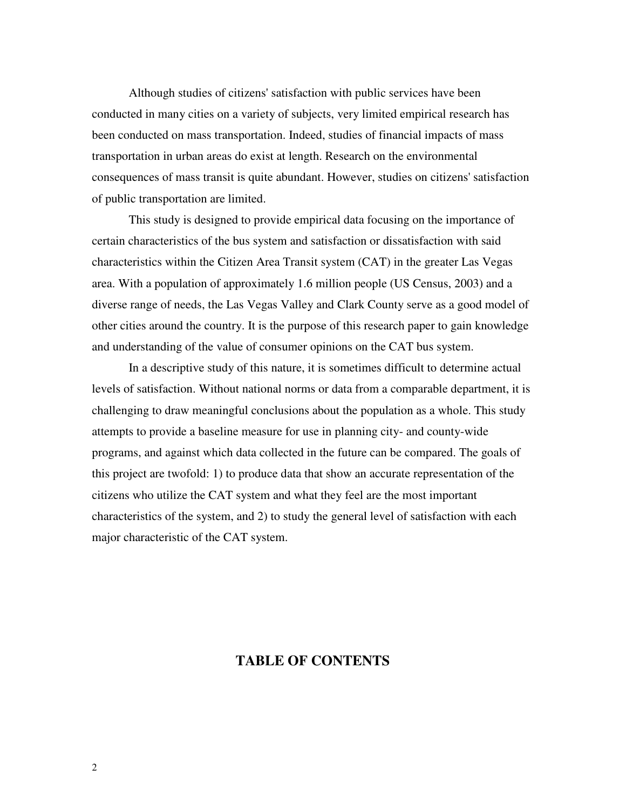Although studies of citizens' satisfaction with public services have been conducted in many cities on a variety of subjects, very limited empirical research has been conducted on mass transportation. Indeed, studies of financial impacts of mass transportation in urban areas do exist at length. Research on the environmental consequences of mass transit is quite abundant. However, studies on citizens' satisfaction of public transportation are limited.

 This study is designed to provide empirical data focusing on the importance of certain characteristics of the bus system and satisfaction or dissatisfaction with said characteristics within the Citizen Area Transit system (CAT) in the greater Las Vegas area. With a population of approximately 1.6 million people (US Census, 2003) and a diverse range of needs, the Las Vegas Valley and Clark County serve as a good model of other cities around the country. It is the purpose of this research paper to gain knowledge and understanding of the value of consumer opinions on the CAT bus system.

 In a descriptive study of this nature, it is sometimes difficult to determine actual levels of satisfaction. Without national norms or data from a comparable department, it is challenging to draw meaningful conclusions about the population as a whole. This study attempts to provide a baseline measure for use in planning city- and county-wide programs, and against which data collected in the future can be compared. The goals of this project are twofold: 1) to produce data that show an accurate representation of the citizens who utilize the CAT system and what they feel are the most important characteristics of the system, and 2) to study the general level of satisfaction with each major characteristic of the CAT system.

### **TABLE OF CONTENTS**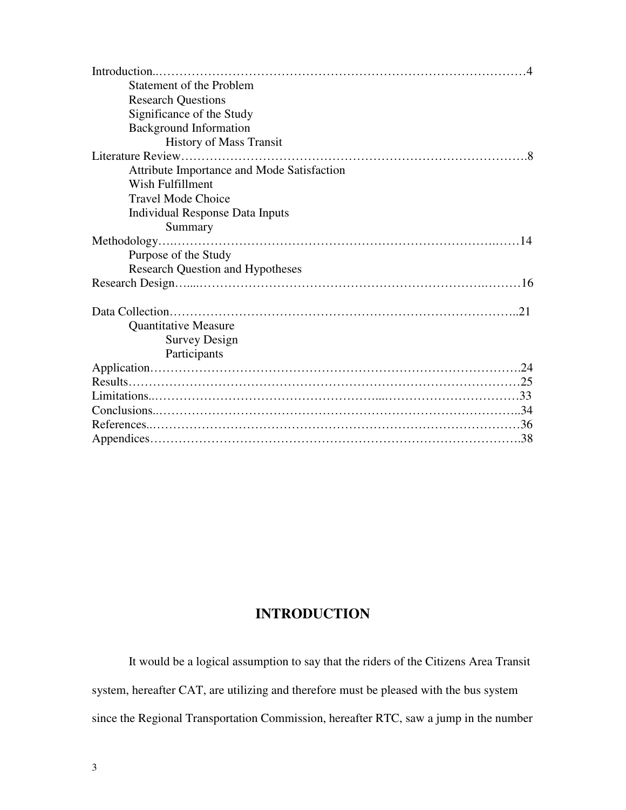| <b>Statement of the Problem</b>            |
|--------------------------------------------|
| <b>Research Questions</b>                  |
| Significance of the Study                  |
| <b>Background Information</b>              |
| <b>History of Mass Transit</b>             |
|                                            |
| Attribute Importance and Mode Satisfaction |
| Wish Fulfillment                           |
| <b>Travel Mode Choice</b>                  |
| <b>Individual Response Data Inputs</b>     |
| Summary                                    |
|                                            |
| Purpose of the Study                       |
| <b>Research Question and Hypotheses</b>    |
|                                            |
|                                            |
| <b>Quantitative Measure</b>                |
| <b>Survey Design</b>                       |
| Participants                               |
|                                            |
|                                            |
|                                            |
|                                            |
|                                            |
|                                            |

## **INTRODUCTION**

It would be a logical assumption to say that the riders of the Citizens Area Transit system, hereafter CAT, are utilizing and therefore must be pleased with the bus system since the Regional Transportation Commission, hereafter RTC, saw a jump in the number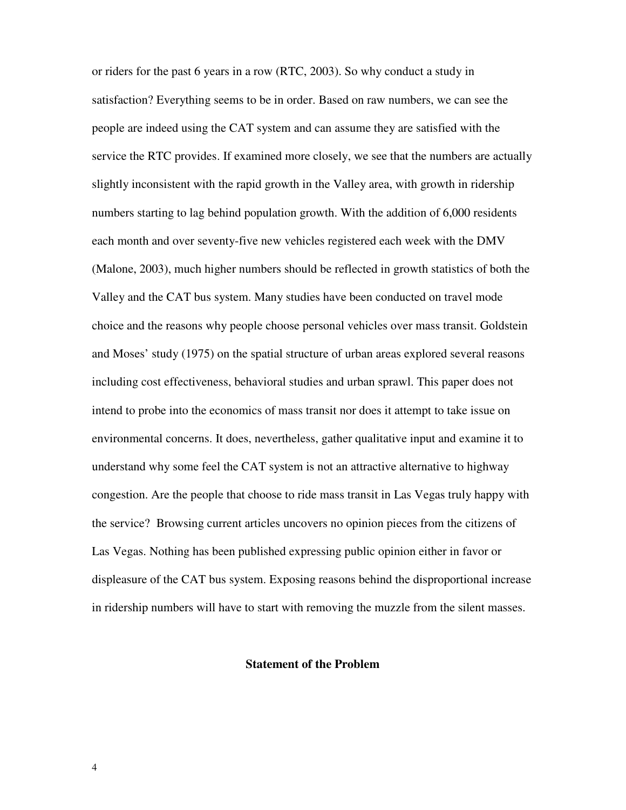or riders for the past 6 years in a row (RTC, 2003). So why conduct a study in satisfaction? Everything seems to be in order. Based on raw numbers, we can see the people are indeed using the CAT system and can assume they are satisfied with the service the RTC provides. If examined more closely, we see that the numbers are actually slightly inconsistent with the rapid growth in the Valley area, with growth in ridership numbers starting to lag behind population growth. With the addition of 6,000 residents each month and over seventy-five new vehicles registered each week with the DMV (Malone, 2003), much higher numbers should be reflected in growth statistics of both the Valley and the CAT bus system. Many studies have been conducted on travel mode choice and the reasons why people choose personal vehicles over mass transit. Goldstein and Moses' study (1975) on the spatial structure of urban areas explored several reasons including cost effectiveness, behavioral studies and urban sprawl. This paper does not intend to probe into the economics of mass transit nor does it attempt to take issue on environmental concerns. It does, nevertheless, gather qualitative input and examine it to understand why some feel the CAT system is not an attractive alternative to highway congestion. Are the people that choose to ride mass transit in Las Vegas truly happy with the service? Browsing current articles uncovers no opinion pieces from the citizens of Las Vegas. Nothing has been published expressing public opinion either in favor or displeasure of the CAT bus system. Exposing reasons behind the disproportional increase in ridership numbers will have to start with removing the muzzle from the silent masses.

#### **Statement of the Problem**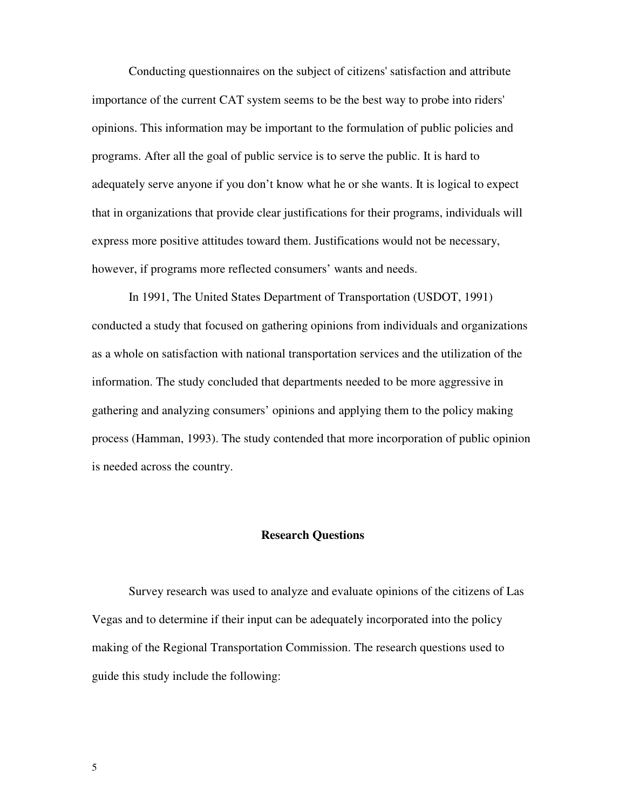Conducting questionnaires on the subject of citizens' satisfaction and attribute importance of the current CAT system seems to be the best way to probe into riders' opinions. This information may be important to the formulation of public policies and programs. After all the goal of public service is to serve the public. It is hard to adequately serve anyone if you don't know what he or she wants. It is logical to expect that in organizations that provide clear justifications for their programs, individuals will express more positive attitudes toward them. Justifications would not be necessary, however, if programs more reflected consumers' wants and needs.

 In 1991, The United States Department of Transportation (USDOT, 1991) conducted a study that focused on gathering opinions from individuals and organizations as a whole on satisfaction with national transportation services and the utilization of the information. The study concluded that departments needed to be more aggressive in gathering and analyzing consumers' opinions and applying them to the policy making process (Hamman, 1993). The study contended that more incorporation of public opinion is needed across the country.

#### **Research Questions**

Survey research was used to analyze and evaluate opinions of the citizens of Las Vegas and to determine if their input can be adequately incorporated into the policy making of the Regional Transportation Commission. The research questions used to guide this study include the following: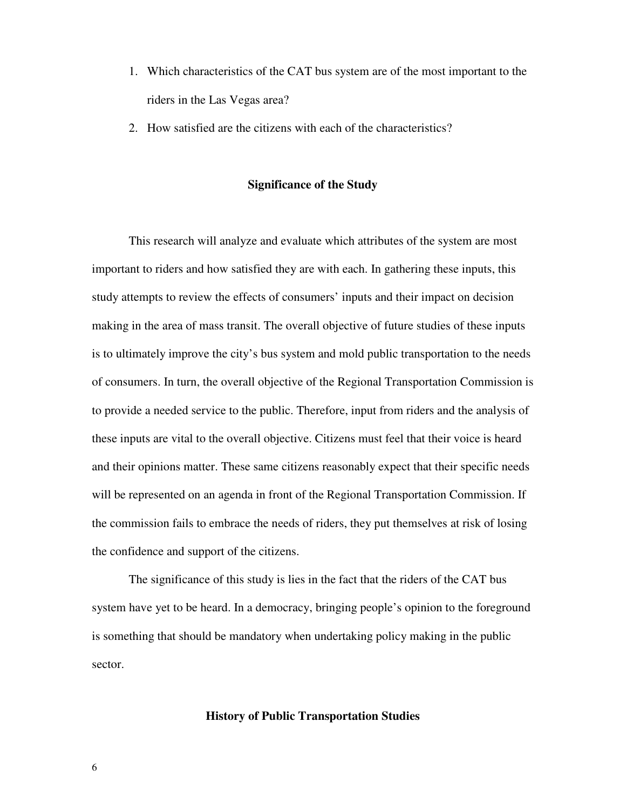- 1. Which characteristics of the CAT bus system are of the most important to the riders in the Las Vegas area?
- 2. How satisfied are the citizens with each of the characteristics?

#### **Significance of the Study**

 This research will analyze and evaluate which attributes of the system are most important to riders and how satisfied they are with each. In gathering these inputs, this study attempts to review the effects of consumers' inputs and their impact on decision making in the area of mass transit. The overall objective of future studies of these inputs is to ultimately improve the city's bus system and mold public transportation to the needs of consumers. In turn, the overall objective of the Regional Transportation Commission is to provide a needed service to the public. Therefore, input from riders and the analysis of these inputs are vital to the overall objective. Citizens must feel that their voice is heard and their opinions matter. These same citizens reasonably expect that their specific needs will be represented on an agenda in front of the Regional Transportation Commission. If the commission fails to embrace the needs of riders, they put themselves at risk of losing the confidence and support of the citizens.

The significance of this study is lies in the fact that the riders of the CAT bus system have yet to be heard. In a democracy, bringing people's opinion to the foreground is something that should be mandatory when undertaking policy making in the public sector.

#### **History of Public Transportation Studies**

6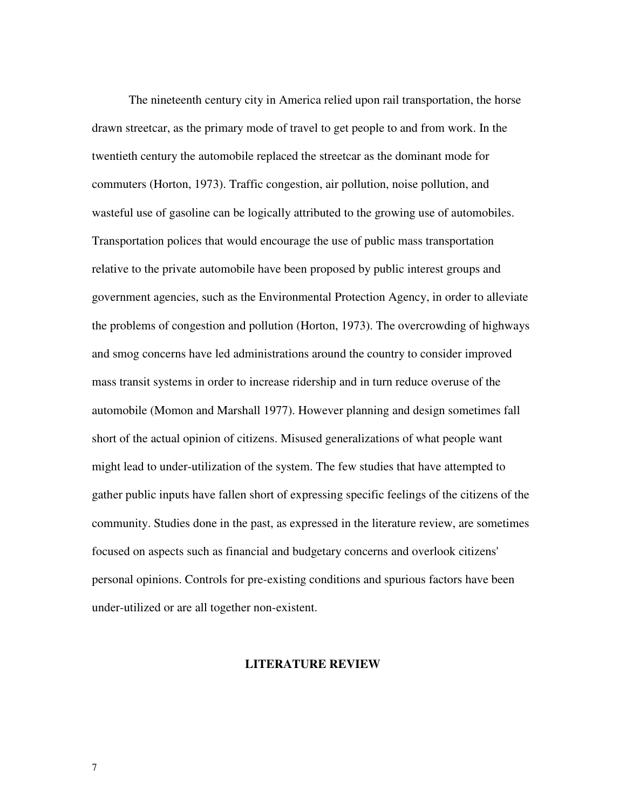The nineteenth century city in America relied upon rail transportation, the horse drawn streetcar, as the primary mode of travel to get people to and from work. In the twentieth century the automobile replaced the streetcar as the dominant mode for commuters (Horton, 1973). Traffic congestion, air pollution, noise pollution, and wasteful use of gasoline can be logically attributed to the growing use of automobiles. Transportation polices that would encourage the use of public mass transportation relative to the private automobile have been proposed by public interest groups and government agencies, such as the Environmental Protection Agency, in order to alleviate the problems of congestion and pollution (Horton, 1973). The overcrowding of highways and smog concerns have led administrations around the country to consider improved mass transit systems in order to increase ridership and in turn reduce overuse of the automobile (Momon and Marshall 1977). However planning and design sometimes fall short of the actual opinion of citizens. Misused generalizations of what people want might lead to under-utilization of the system. The few studies that have attempted to gather public inputs have fallen short of expressing specific feelings of the citizens of the community. Studies done in the past, as expressed in the literature review, are sometimes focused on aspects such as financial and budgetary concerns and overlook citizens' personal opinions. Controls for pre-existing conditions and spurious factors have been under-utilized or are all together non-existent.

#### **LITERATURE REVIEW**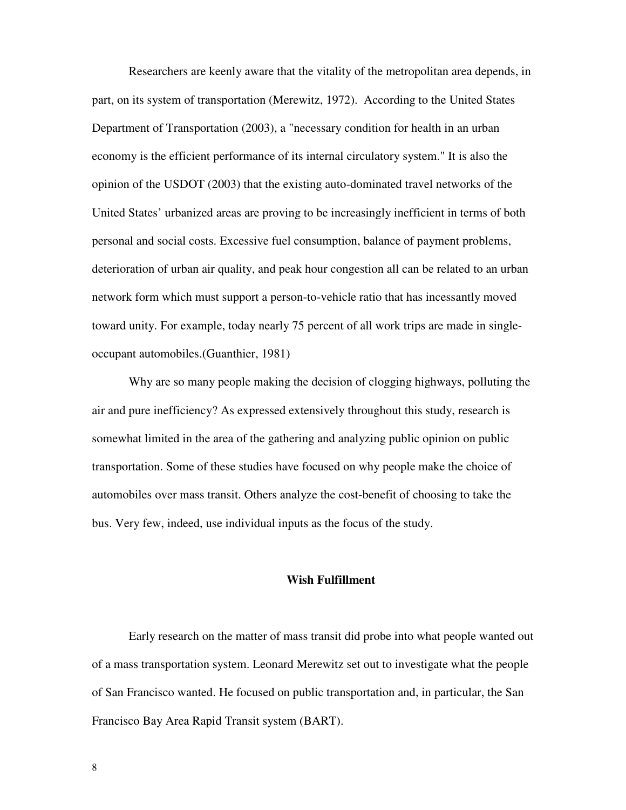Researchers are keenly aware that the vitality of the metropolitan area depends, in part, on its system of transportation (Merewitz, 1972). According to the United States Department of Transportation (2003), a "necessary condition for health in an urban economy is the efficient performance of its internal circulatory system." It is also the opinion of the USDOT (2003) that the existing auto-dominated travel networks of the United States' urbanized areas are proving to be increasingly inefficient in terms of both personal and social costs. Excessive fuel consumption, balance of payment problems, deterioration of urban air quality, and peak hour congestion all can be related to an urban network form which must support a person-to-vehicle ratio that has incessantly moved toward unity. For example, today nearly 75 percent of all work trips are made in singleoccupant automobiles.(Guanthier, 1981)

Why are so many people making the decision of clogging highways, polluting the air and pure inefficiency? As expressed extensively throughout this study, research is somewhat limited in the area of the gathering and analyzing public opinion on public transportation. Some of these studies have focused on why people make the choice of automobiles over mass transit. Others analyze the cost-benefit of choosing to take the bus. Very few, indeed, use individual inputs as the focus of the study.

#### **Wish Fulfillment**

Early research on the matter of mass transit did probe into what people wanted out of a mass transportation system. Leonard Merewitz set out to investigate what the people of San Francisco wanted. He focused on public transportation and, in particular, the San Francisco Bay Area Rapid Transit system (BART).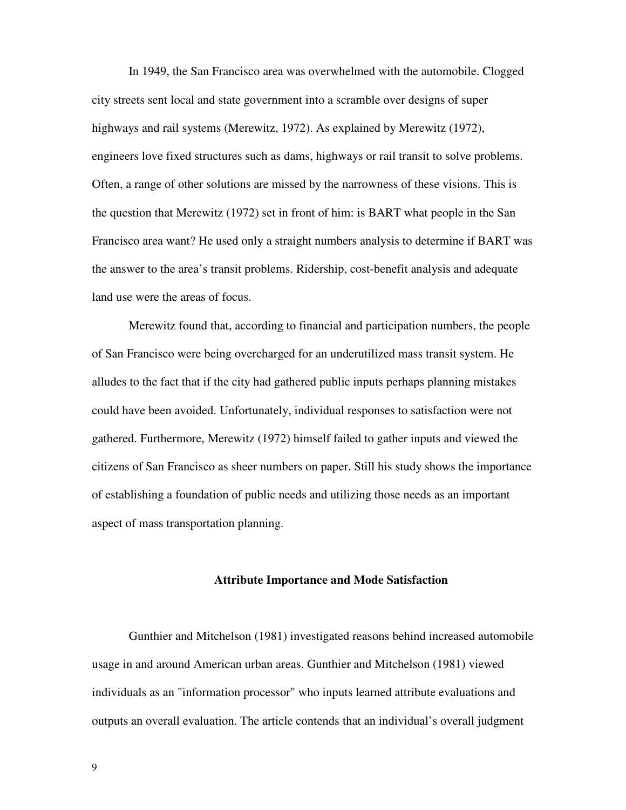In 1949, the San Francisco area was overwhelmed with the automobile. Clogged city streets sent local and state government into a scramble over designs of super highways and rail systems (Merewitz, 1972). As explained by Merewitz (1972), engineers love fixed structures such as dams, highways or rail transit to solve problems. Often, a range of other solutions are missed by the narrowness of these visions. This is the question that Merewitz (1972) set in front of him: is BART what people in the San Francisco area want? He used only a straight numbers analysis to determine if BART was the answer to the area's transit problems. Ridership, cost-benefit analysis and adequate land use were the areas of focus.

Merewitz found that, according to financial and participation numbers, the people of San Francisco were being overcharged for an underutilized mass transit system. He alludes to the fact that if the city had gathered public inputs perhaps planning mistakes could have been avoided. Unfortunately, individual responses to satisfaction were not gathered. Furthermore, Merewitz (1972) himself failed to gather inputs and viewed the citizens of San Francisco as sheer numbers on paper. Still his study shows the importance of establishing a foundation of public needs and utilizing those needs as an important aspect of mass transportation planning.

#### **Attribute Importance and Mode Satisfaction**

Gunthier and Mitchelson (1981) investigated reasons behind increased automobile usage in and around American urban areas. Gunthier and Mitchelson (1981) viewed individuals as an "information processor" who inputs learned attribute evaluations and outputs an overall evaluation. The article contends that an individual's overall judgment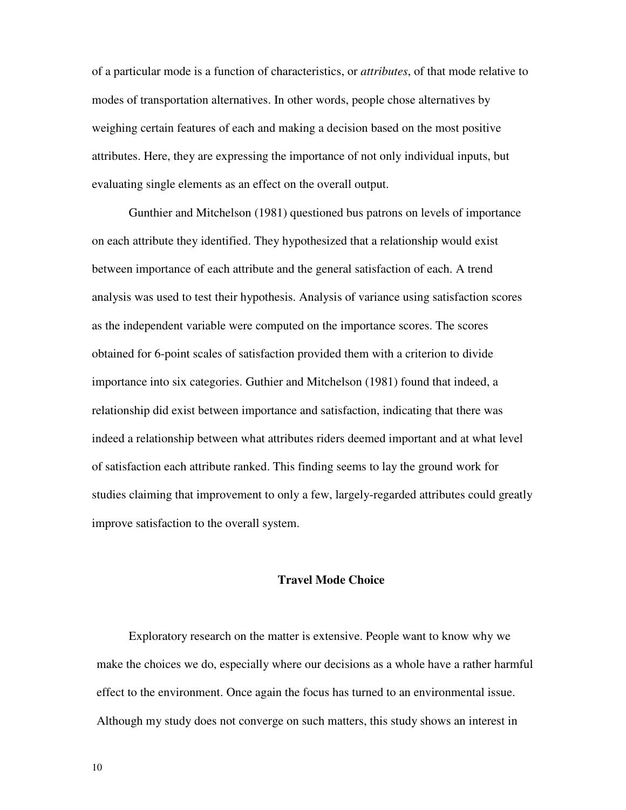of a particular mode is a function of characteristics, or *attributes*, of that mode relative to modes of transportation alternatives. In other words, people chose alternatives by weighing certain features of each and making a decision based on the most positive attributes. Here, they are expressing the importance of not only individual inputs, but evaluating single elements as an effect on the overall output.

Gunthier and Mitchelson (1981) questioned bus patrons on levels of importance on each attribute they identified. They hypothesized that a relationship would exist between importance of each attribute and the general satisfaction of each. A trend analysis was used to test their hypothesis. Analysis of variance using satisfaction scores as the independent variable were computed on the importance scores. The scores obtained for 6-point scales of satisfaction provided them with a criterion to divide importance into six categories. Guthier and Mitchelson (1981) found that indeed, a relationship did exist between importance and satisfaction, indicating that there was indeed a relationship between what attributes riders deemed important and at what level of satisfaction each attribute ranked. This finding seems to lay the ground work for studies claiming that improvement to only a few, largely-regarded attributes could greatly improve satisfaction to the overall system.

#### **Travel Mode Choice**

Exploratory research on the matter is extensive. People want to know why we make the choices we do, especially where our decisions as a whole have a rather harmful effect to the environment. Once again the focus has turned to an environmental issue. Although my study does not converge on such matters, this study shows an interest in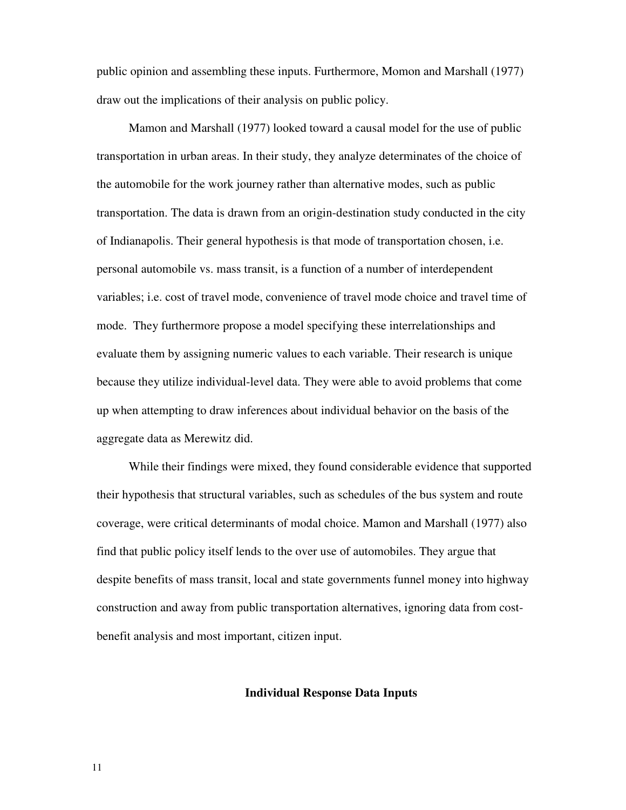public opinion and assembling these inputs. Furthermore, Momon and Marshall (1977) draw out the implications of their analysis on public policy.

Mamon and Marshall (1977) looked toward a causal model for the use of public transportation in urban areas. In their study, they analyze determinates of the choice of the automobile for the work journey rather than alternative modes, such as public transportation. The data is drawn from an origin-destination study conducted in the city of Indianapolis. Their general hypothesis is that mode of transportation chosen, i.e. personal automobile vs. mass transit, is a function of a number of interdependent variables; i.e. cost of travel mode, convenience of travel mode choice and travel time of mode. They furthermore propose a model specifying these interrelationships and evaluate them by assigning numeric values to each variable. Their research is unique because they utilize individual-level data. They were able to avoid problems that come up when attempting to draw inferences about individual behavior on the basis of the aggregate data as Merewitz did.

While their findings were mixed, they found considerable evidence that supported their hypothesis that structural variables, such as schedules of the bus system and route coverage, were critical determinants of modal choice. Mamon and Marshall (1977) also find that public policy itself lends to the over use of automobiles. They argue that despite benefits of mass transit, local and state governments funnel money into highway construction and away from public transportation alternatives, ignoring data from costbenefit analysis and most important, citizen input.

#### **Individual Response Data Inputs**

11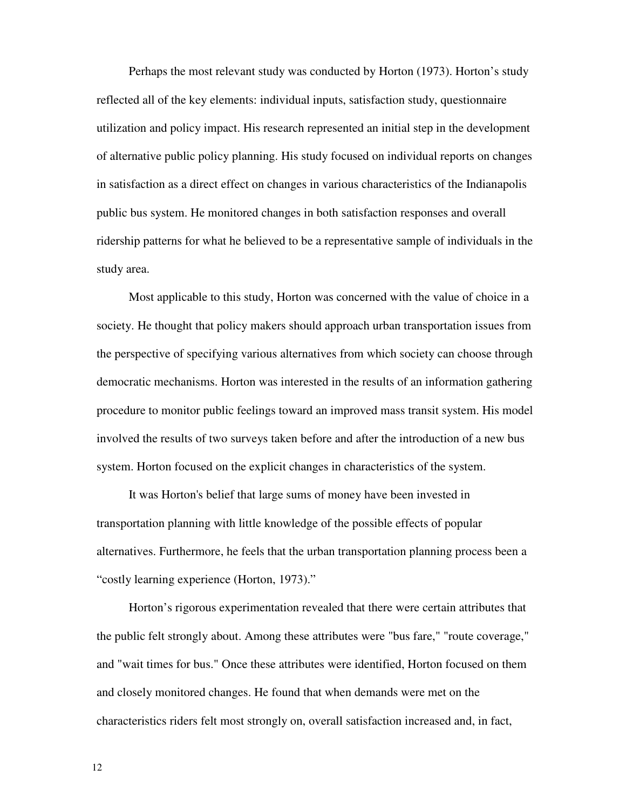Perhaps the most relevant study was conducted by Horton (1973). Horton's study reflected all of the key elements: individual inputs, satisfaction study, questionnaire utilization and policy impact. His research represented an initial step in the development of alternative public policy planning. His study focused on individual reports on changes in satisfaction as a direct effect on changes in various characteristics of the Indianapolis public bus system. He monitored changes in both satisfaction responses and overall ridership patterns for what he believed to be a representative sample of individuals in the study area.

Most applicable to this study, Horton was concerned with the value of choice in a society. He thought that policy makers should approach urban transportation issues from the perspective of specifying various alternatives from which society can choose through democratic mechanisms. Horton was interested in the results of an information gathering procedure to monitor public feelings toward an improved mass transit system. His model involved the results of two surveys taken before and after the introduction of a new bus system. Horton focused on the explicit changes in characteristics of the system.

It was Horton's belief that large sums of money have been invested in transportation planning with little knowledge of the possible effects of popular alternatives. Furthermore, he feels that the urban transportation planning process been a "costly learning experience (Horton, 1973)."

Horton's rigorous experimentation revealed that there were certain attributes that the public felt strongly about. Among these attributes were "bus fare," "route coverage," and "wait times for bus." Once these attributes were identified, Horton focused on them and closely monitored changes. He found that when demands were met on the characteristics riders felt most strongly on, overall satisfaction increased and, in fact,

12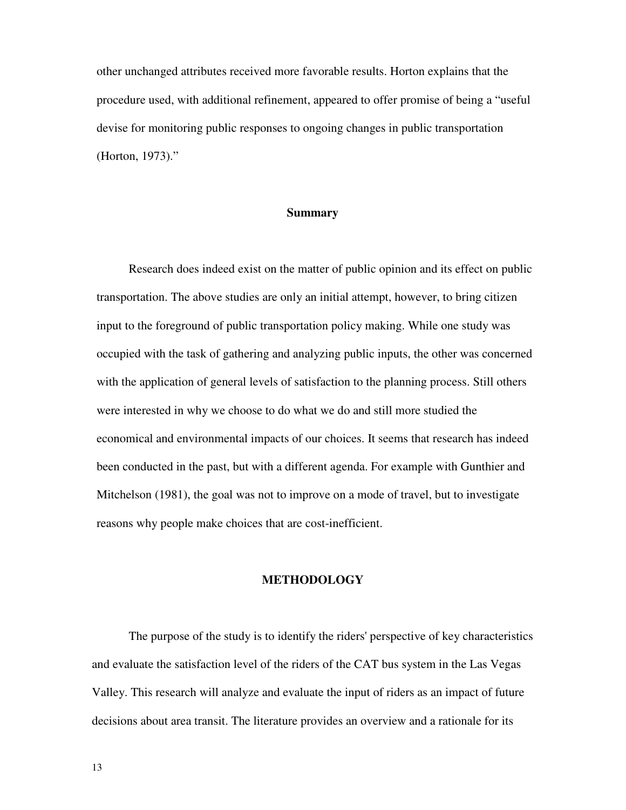other unchanged attributes received more favorable results. Horton explains that the procedure used, with additional refinement, appeared to offer promise of being a "useful devise for monitoring public responses to ongoing changes in public transportation (Horton, 1973)."

#### **Summary**

Research does indeed exist on the matter of public opinion and its effect on public transportation. The above studies are only an initial attempt, however, to bring citizen input to the foreground of public transportation policy making. While one study was occupied with the task of gathering and analyzing public inputs, the other was concerned with the application of general levels of satisfaction to the planning process. Still others were interested in why we choose to do what we do and still more studied the economical and environmental impacts of our choices. It seems that research has indeed been conducted in the past, but with a different agenda. For example with Gunthier and Mitchelson (1981), the goal was not to improve on a mode of travel, but to investigate reasons why people make choices that are cost-inefficient.

#### **METHODOLOGY**

The purpose of the study is to identify the riders' perspective of key characteristics and evaluate the satisfaction level of the riders of the CAT bus system in the Las Vegas Valley. This research will analyze and evaluate the input of riders as an impact of future decisions about area transit. The literature provides an overview and a rationale for its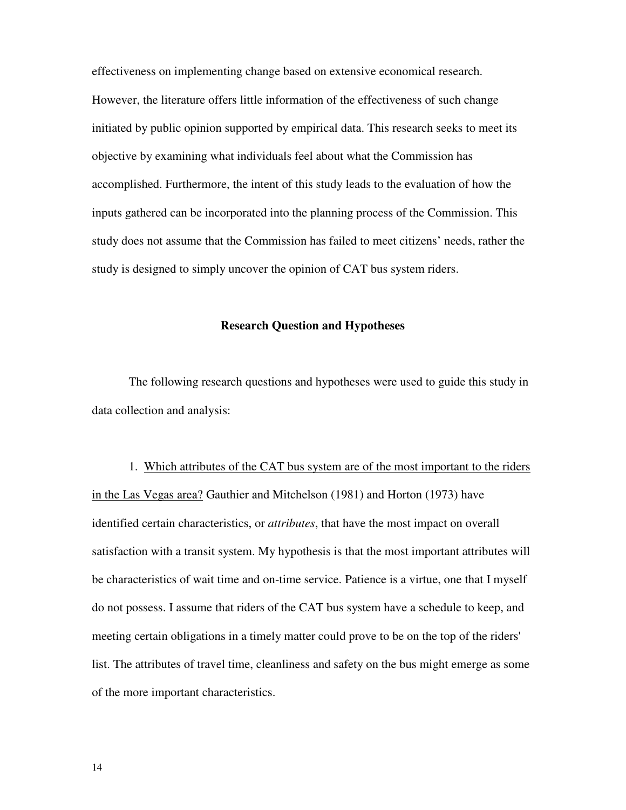effectiveness on implementing change based on extensive economical research. However, the literature offers little information of the effectiveness of such change initiated by public opinion supported by empirical data. This research seeks to meet its objective by examining what individuals feel about what the Commission has accomplished. Furthermore, the intent of this study leads to the evaluation of how the inputs gathered can be incorporated into the planning process of the Commission. This study does not assume that the Commission has failed to meet citizens' needs, rather the study is designed to simply uncover the opinion of CAT bus system riders.

#### **Research Question and Hypotheses**

The following research questions and hypotheses were used to guide this study in data collection and analysis:

1. Which attributes of the CAT bus system are of the most important to the riders in the Las Vegas area? Gauthier and Mitchelson (1981) and Horton (1973) have identified certain characteristics, or *attributes*, that have the most impact on overall satisfaction with a transit system. My hypothesis is that the most important attributes will be characteristics of wait time and on-time service. Patience is a virtue, one that I myself do not possess. I assume that riders of the CAT bus system have a schedule to keep, and meeting certain obligations in a timely matter could prove to be on the top of the riders' list. The attributes of travel time, cleanliness and safety on the bus might emerge as some of the more important characteristics.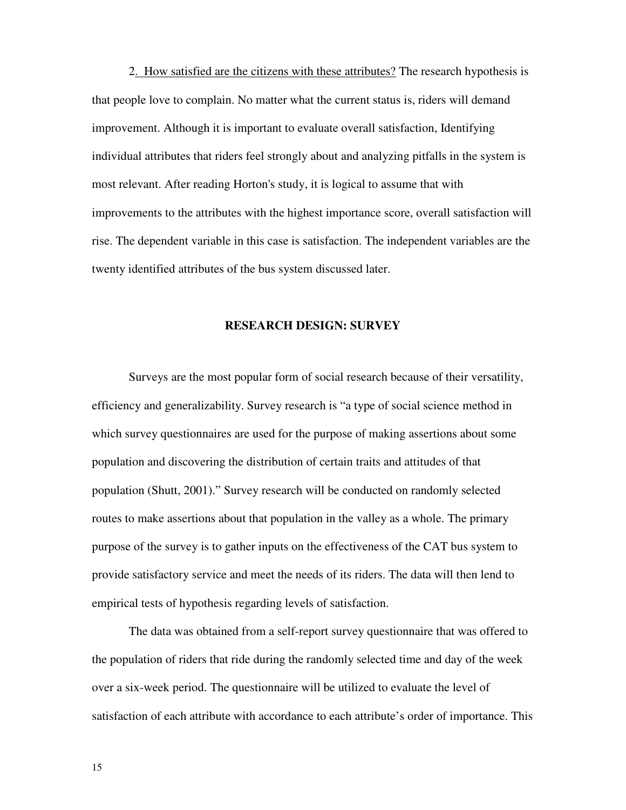2. How satisfied are the citizens with these attributes? The research hypothesis is that people love to complain. No matter what the current status is, riders will demand improvement. Although it is important to evaluate overall satisfaction, Identifying individual attributes that riders feel strongly about and analyzing pitfalls in the system is most relevant. After reading Horton's study, it is logical to assume that with improvements to the attributes with the highest importance score, overall satisfaction will rise. The dependent variable in this case is satisfaction. The independent variables are the twenty identified attributes of the bus system discussed later.

#### **RESEARCH DESIGN: SURVEY**

 Surveys are the most popular form of social research because of their versatility, efficiency and generalizability. Survey research is "a type of social science method in which survey questionnaires are used for the purpose of making assertions about some population and discovering the distribution of certain traits and attitudes of that population (Shutt, 2001)." Survey research will be conducted on randomly selected routes to make assertions about that population in the valley as a whole. The primary purpose of the survey is to gather inputs on the effectiveness of the CAT bus system to provide satisfactory service and meet the needs of its riders. The data will then lend to empirical tests of hypothesis regarding levels of satisfaction.

 The data was obtained from a self-report survey questionnaire that was offered to the population of riders that ride during the randomly selected time and day of the week over a six-week period. The questionnaire will be utilized to evaluate the level of satisfaction of each attribute with accordance to each attribute's order of importance. This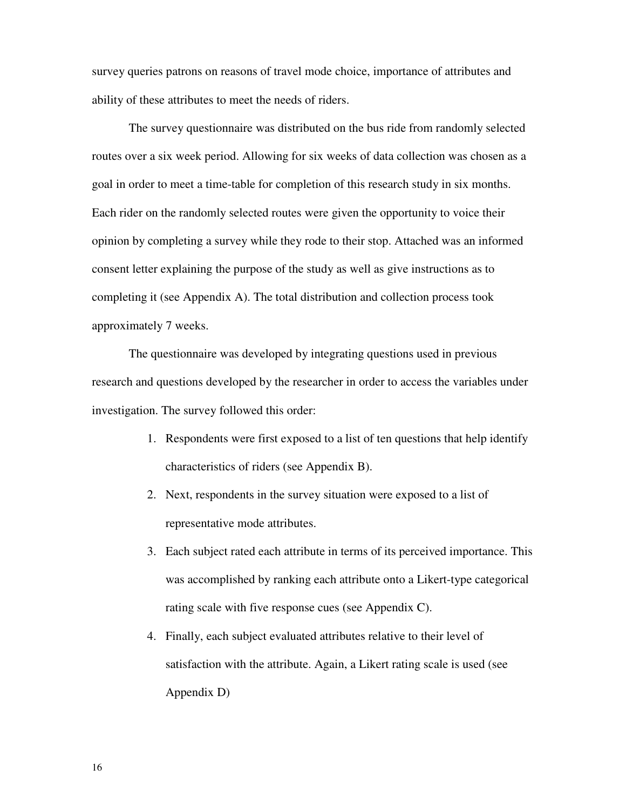survey queries patrons on reasons of travel mode choice, importance of attributes and ability of these attributes to meet the needs of riders.

 The survey questionnaire was distributed on the bus ride from randomly selected routes over a six week period. Allowing for six weeks of data collection was chosen as a goal in order to meet a time-table for completion of this research study in six months. Each rider on the randomly selected routes were given the opportunity to voice their opinion by completing a survey while they rode to their stop. Attached was an informed consent letter explaining the purpose of the study as well as give instructions as to completing it (see Appendix A). The total distribution and collection process took approximately 7 weeks.

 The questionnaire was developed by integrating questions used in previous research and questions developed by the researcher in order to access the variables under investigation. The survey followed this order:

- 1. Respondents were first exposed to a list of ten questions that help identify characteristics of riders (see Appendix B).
- 2. Next, respondents in the survey situation were exposed to a list of representative mode attributes.
- 3. Each subject rated each attribute in terms of its perceived importance. This was accomplished by ranking each attribute onto a Likert-type categorical rating scale with five response cues (see Appendix C).
- 4. Finally, each subject evaluated attributes relative to their level of satisfaction with the attribute. Again, a Likert rating scale is used (see Appendix D)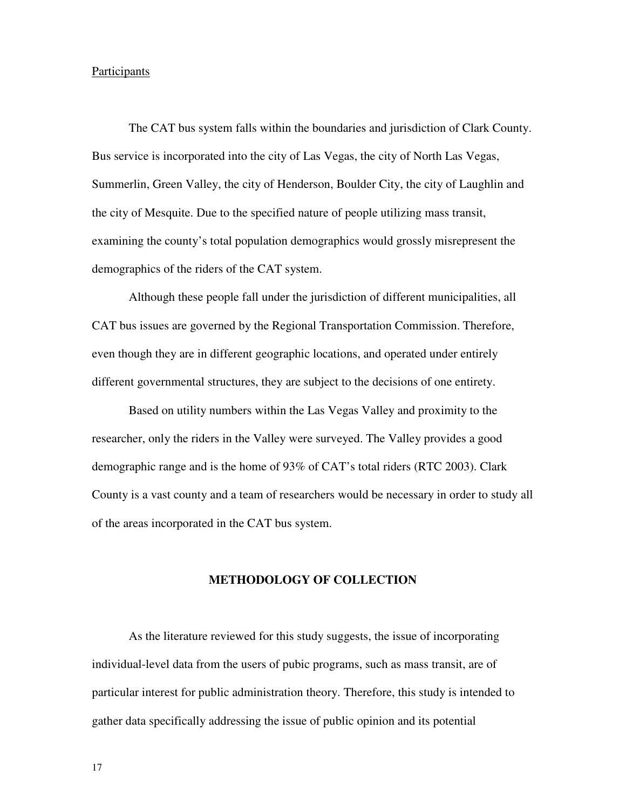#### Participants

 The CAT bus system falls within the boundaries and jurisdiction of Clark County. Bus service is incorporated into the city of Las Vegas, the city of North Las Vegas, Summerlin, Green Valley, the city of Henderson, Boulder City, the city of Laughlin and the city of Mesquite. Due to the specified nature of people utilizing mass transit, examining the county's total population demographics would grossly misrepresent the demographics of the riders of the CAT system.

 Although these people fall under the jurisdiction of different municipalities, all CAT bus issues are governed by the Regional Transportation Commission. Therefore, even though they are in different geographic locations, and operated under entirely different governmental structures, they are subject to the decisions of one entirety.

 Based on utility numbers within the Las Vegas Valley and proximity to the researcher, only the riders in the Valley were surveyed. The Valley provides a good demographic range and is the home of 93% of CAT's total riders (RTC 2003). Clark County is a vast county and a team of researchers would be necessary in order to study all of the areas incorporated in the CAT bus system.

#### **METHODOLOGY OF COLLECTION**

 As the literature reviewed for this study suggests, the issue of incorporating individual-level data from the users of pubic programs, such as mass transit, are of particular interest for public administration theory. Therefore, this study is intended to gather data specifically addressing the issue of public opinion and its potential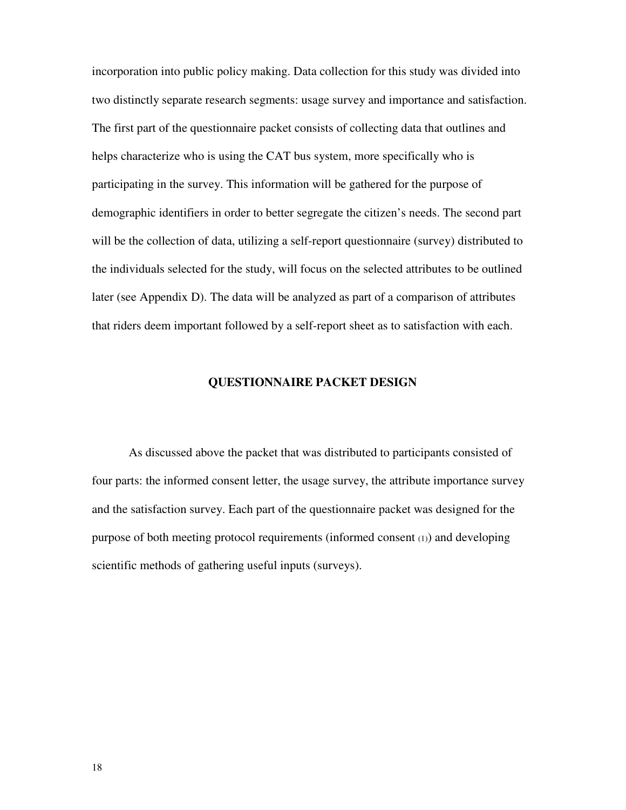incorporation into public policy making. Data collection for this study was divided into two distinctly separate research segments: usage survey and importance and satisfaction. The first part of the questionnaire packet consists of collecting data that outlines and helps characterize who is using the CAT bus system, more specifically who is participating in the survey. This information will be gathered for the purpose of demographic identifiers in order to better segregate the citizen's needs. The second part will be the collection of data, utilizing a self-report questionnaire (survey) distributed to the individuals selected for the study, will focus on the selected attributes to be outlined later (see Appendix D). The data will be analyzed as part of a comparison of attributes that riders deem important followed by a self-report sheet as to satisfaction with each.

#### **QUESTIONNAIRE PACKET DESIGN**

 As discussed above the packet that was distributed to participants consisted of four parts: the informed consent letter, the usage survey, the attribute importance survey and the satisfaction survey. Each part of the questionnaire packet was designed for the purpose of both meeting protocol requirements (informed consent (1)) and developing scientific methods of gathering useful inputs (surveys).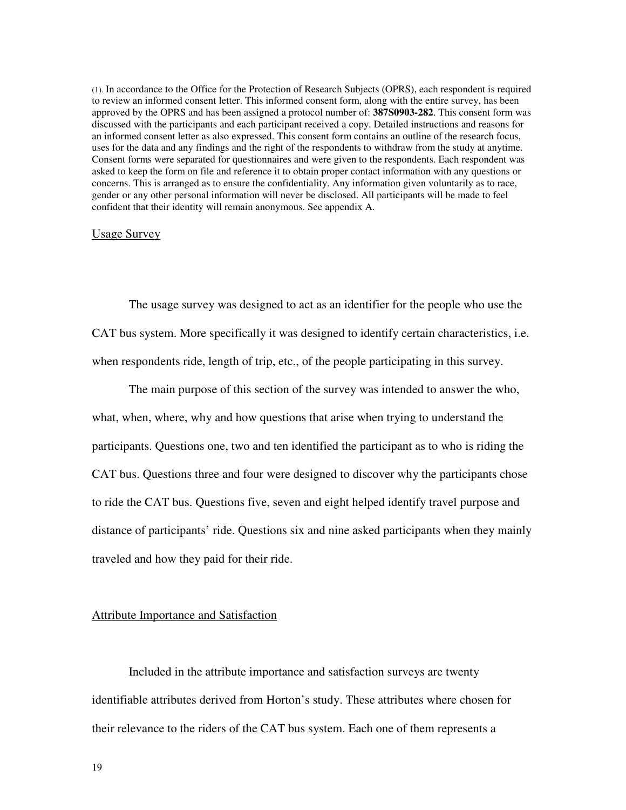(1). In accordance to the Office for the Protection of Research Subjects (OPRS), each respondent is required to review an informed consent letter. This informed consent form, along with the entire survey, has been approved by the OPRS and has been assigned a protocol number of: **387S0903-282**. This consent form was discussed with the participants and each participant received a copy. Detailed instructions and reasons for an informed consent letter as also expressed. This consent form contains an outline of the research focus, uses for the data and any findings and the right of the respondents to withdraw from the study at anytime. Consent forms were separated for questionnaires and were given to the respondents. Each respondent was asked to keep the form on file and reference it to obtain proper contact information with any questions or concerns. This is arranged as to ensure the confidentiality. Any information given voluntarily as to race, gender or any other personal information will never be disclosed. All participants will be made to feel confident that their identity will remain anonymous. See appendix A.

#### Usage Survey

 The usage survey was designed to act as an identifier for the people who use the CAT bus system. More specifically it was designed to identify certain characteristics, i.e. when respondents ride, length of trip, etc., of the people participating in this survey.

 The main purpose of this section of the survey was intended to answer the who, what, when, where, why and how questions that arise when trying to understand the participants. Questions one, two and ten identified the participant as to who is riding the CAT bus. Questions three and four were designed to discover why the participants chose to ride the CAT bus. Questions five, seven and eight helped identify travel purpose and distance of participants' ride. Questions six and nine asked participants when they mainly traveled and how they paid for their ride.

#### Attribute Importance and Satisfaction

 Included in the attribute importance and satisfaction surveys are twenty identifiable attributes derived from Horton's study. These attributes where chosen for their relevance to the riders of the CAT bus system. Each one of them represents a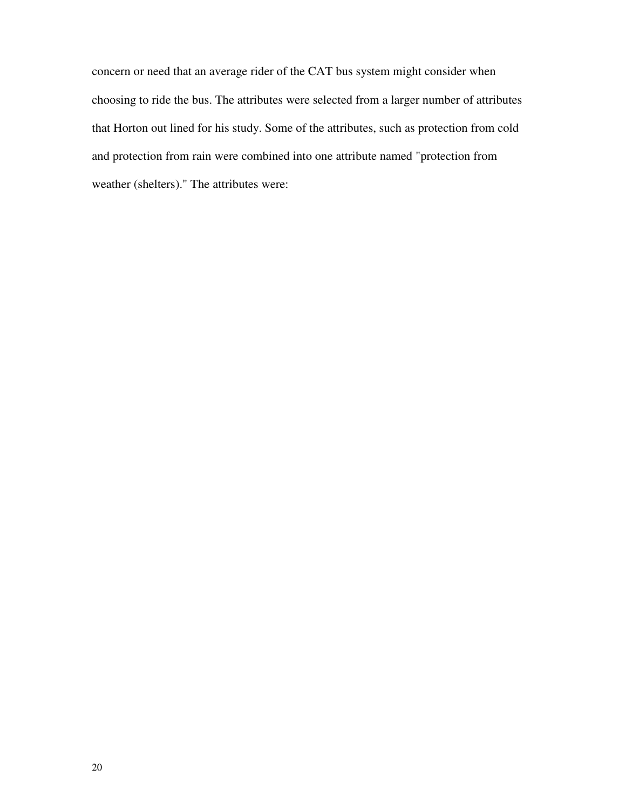concern or need that an average rider of the CAT bus system might consider when choosing to ride the bus. The attributes were selected from a larger number of attributes that Horton out lined for his study. Some of the attributes, such as protection from cold and protection from rain were combined into one attribute named "protection from weather (shelters)." The attributes were: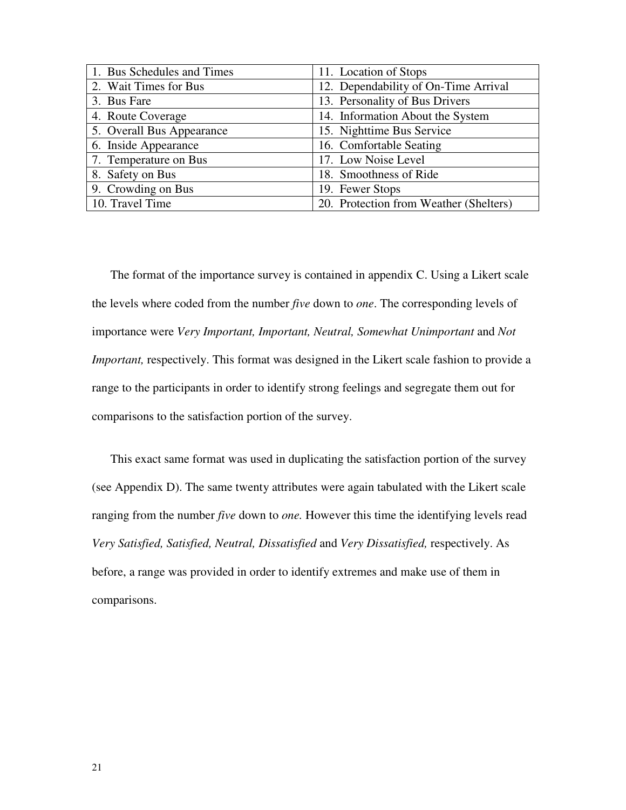| 1. Bus Schedules and Times | 11. Location of Stops                  |
|----------------------------|----------------------------------------|
| 2. Wait Times for Bus      | 12. Dependability of On-Time Arrival   |
| 3. Bus Fare                | 13. Personality of Bus Drivers         |
| 4. Route Coverage          | 14. Information About the System       |
| 5. Overall Bus Appearance  | 15. Nighttime Bus Service              |
| 6. Inside Appearance       | 16. Comfortable Seating                |
| 7. Temperature on Bus      | 17. Low Noise Level                    |
| 8. Safety on Bus           | 18. Smoothness of Ride                 |
| 9. Crowding on Bus         | 19. Fewer Stops                        |
| 10. Travel Time            | 20. Protection from Weather (Shelters) |

The format of the importance survey is contained in appendix C. Using a Likert scale the levels where coded from the number *five* down to *one*. The corresponding levels of importance were *Very Important, Important, Neutral, Somewhat Unimportant* and *Not Important,* respectively. This format was designed in the Likert scale fashion to provide a range to the participants in order to identify strong feelings and segregate them out for comparisons to the satisfaction portion of the survey.

This exact same format was used in duplicating the satisfaction portion of the survey (see Appendix D). The same twenty attributes were again tabulated with the Likert scale ranging from the number *five* down to *one.* However this time the identifying levels read *Very Satisfied, Satisfied, Neutral, Dissatisfied* and *Very Dissatisfied,* respectively. As before, a range was provided in order to identify extremes and make use of them in comparisons.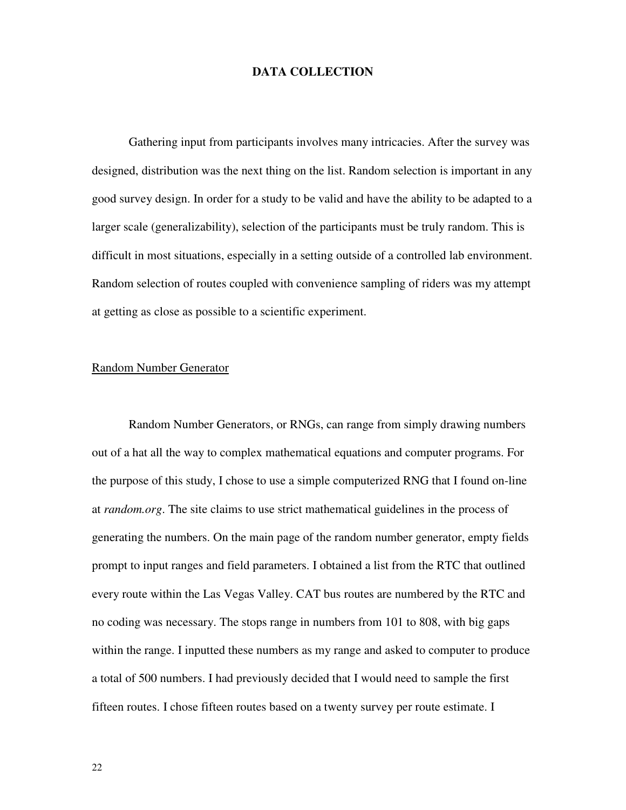#### **DATA COLLECTION**

Gathering input from participants involves many intricacies. After the survey was designed, distribution was the next thing on the list. Random selection is important in any good survey design. In order for a study to be valid and have the ability to be adapted to a larger scale (generalizability), selection of the participants must be truly random. This is difficult in most situations, especially in a setting outside of a controlled lab environment. Random selection of routes coupled with convenience sampling of riders was my attempt at getting as close as possible to a scientific experiment.

#### Random Number Generator

 Random Number Generators, or RNGs, can range from simply drawing numbers out of a hat all the way to complex mathematical equations and computer programs. For the purpose of this study, I chose to use a simple computerized RNG that I found on-line at *random.org*. The site claims to use strict mathematical guidelines in the process of generating the numbers. On the main page of the random number generator, empty fields prompt to input ranges and field parameters. I obtained a list from the RTC that outlined every route within the Las Vegas Valley. CAT bus routes are numbered by the RTC and no coding was necessary. The stops range in numbers from 101 to 808, with big gaps within the range. I inputted these numbers as my range and asked to computer to produce a total of 500 numbers. I had previously decided that I would need to sample the first fifteen routes. I chose fifteen routes based on a twenty survey per route estimate. I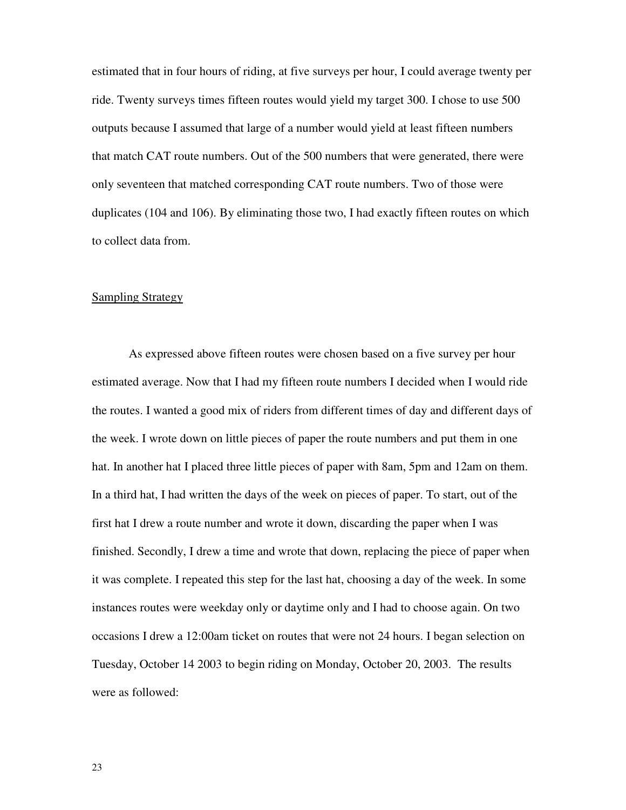estimated that in four hours of riding, at five surveys per hour, I could average twenty per ride. Twenty surveys times fifteen routes would yield my target 300. I chose to use 500 outputs because I assumed that large of a number would yield at least fifteen numbers that match CAT route numbers. Out of the 500 numbers that were generated, there were only seventeen that matched corresponding CAT route numbers. Two of those were duplicates (104 and 106). By eliminating those two, I had exactly fifteen routes on which to collect data from.

#### **Sampling Strategy**

 As expressed above fifteen routes were chosen based on a five survey per hour estimated average. Now that I had my fifteen route numbers I decided when I would ride the routes. I wanted a good mix of riders from different times of day and different days of the week. I wrote down on little pieces of paper the route numbers and put them in one hat. In another hat I placed three little pieces of paper with 8am, 5pm and 12am on them. In a third hat, I had written the days of the week on pieces of paper. To start, out of the first hat I drew a route number and wrote it down, discarding the paper when I was finished. Secondly, I drew a time and wrote that down, replacing the piece of paper when it was complete. I repeated this step for the last hat, choosing a day of the week. In some instances routes were weekday only or daytime only and I had to choose again. On two occasions I drew a 12:00am ticket on routes that were not 24 hours. I began selection on Tuesday, October 14 2003 to begin riding on Monday, October 20, 2003. The results were as followed: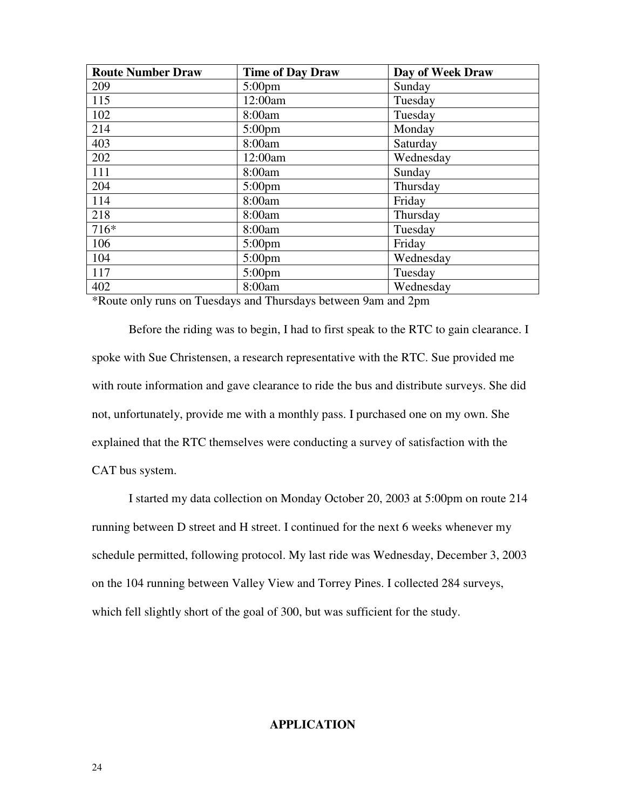| <b>Route Number Draw</b> | <b>Time of Day Draw</b> | Day of Week Draw |
|--------------------------|-------------------------|------------------|
| 209                      | $5:00 \text{pm}$        | Sunday           |
| 115                      | 12:00am                 | Tuesday          |
| 102                      | 8:00am                  | Tuesday          |
| 214                      | $5:00 \text{pm}$        | Monday           |
| 403                      | 8:00am                  | Saturday         |
| 202                      | 12:00am                 | Wednesday        |
| 111                      | 8:00am                  | Sunday           |
| 204                      | $5:00 \text{pm}$        | Thursday         |
| 114                      | 8:00am                  | Friday           |
| 218                      | 8:00am                  | Thursday         |
| 716*                     | 8:00am                  | Tuesday          |
| 106                      | $5:00 \text{pm}$        | Friday           |
| 104                      | $5:00 \text{pm}$        | Wednesday        |
| 117                      | $5:00 \text{pm}$        | Tuesday          |
| 402                      | 8:00am                  | Wednesday        |

\*Route only runs on Tuesdays and Thursdays between 9am and 2pm

 Before the riding was to begin, I had to first speak to the RTC to gain clearance. I spoke with Sue Christensen, a research representative with the RTC. Sue provided me with route information and gave clearance to ride the bus and distribute surveys. She did not, unfortunately, provide me with a monthly pass. I purchased one on my own. She explained that the RTC themselves were conducting a survey of satisfaction with the CAT bus system.

I started my data collection on Monday October 20, 2003 at 5:00pm on route 214 running between D street and H street. I continued for the next 6 weeks whenever my schedule permitted, following protocol. My last ride was Wednesday, December 3, 2003 on the 104 running between Valley View and Torrey Pines. I collected 284 surveys, which fell slightly short of the goal of 300, but was sufficient for the study.

#### **APPLICATION**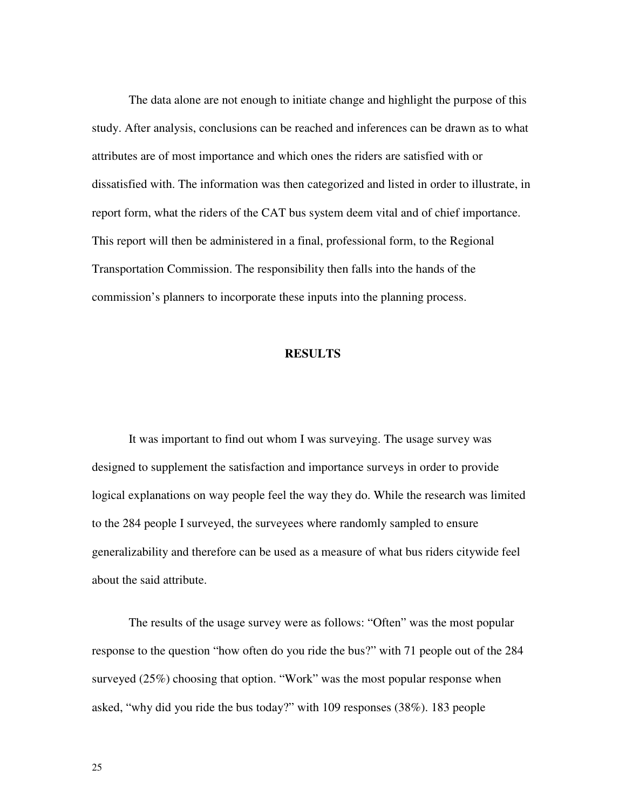The data alone are not enough to initiate change and highlight the purpose of this study. After analysis, conclusions can be reached and inferences can be drawn as to what attributes are of most importance and which ones the riders are satisfied with or dissatisfied with. The information was then categorized and listed in order to illustrate, in report form, what the riders of the CAT bus system deem vital and of chief importance. This report will then be administered in a final, professional form, to the Regional Transportation Commission. The responsibility then falls into the hands of the commission's planners to incorporate these inputs into the planning process.

#### **RESULTS**

It was important to find out whom I was surveying. The usage survey was designed to supplement the satisfaction and importance surveys in order to provide logical explanations on way people feel the way they do. While the research was limited to the 284 people I surveyed, the surveyees where randomly sampled to ensure generalizability and therefore can be used as a measure of what bus riders citywide feel about the said attribute.

The results of the usage survey were as follows: "Often" was the most popular response to the question "how often do you ride the bus?" with 71 people out of the 284 surveyed (25%) choosing that option. "Work" was the most popular response when asked, "why did you ride the bus today?" with 109 responses (38%). 183 people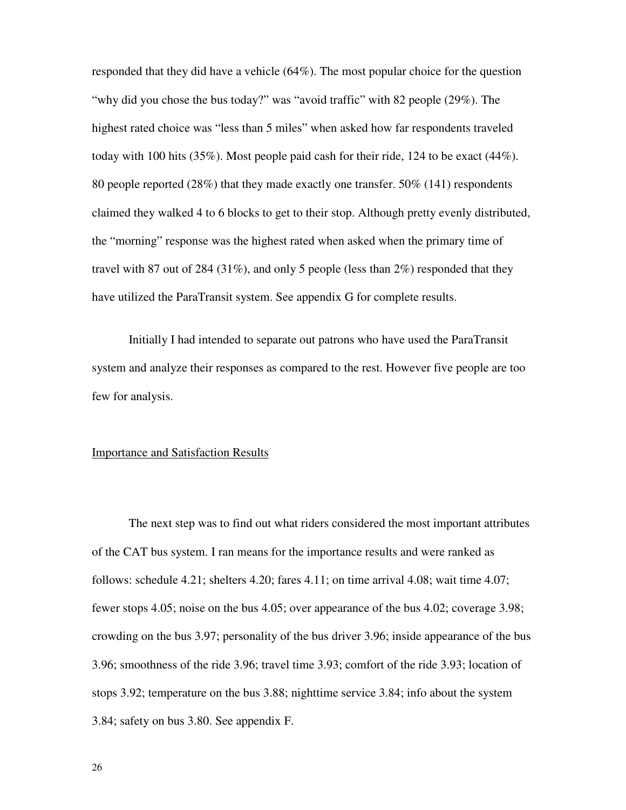responded that they did have a vehicle (64%). The most popular choice for the question "why did you chose the bus today?" was "avoid traffic" with 82 people (29%). The highest rated choice was "less than 5 miles" when asked how far respondents traveled today with 100 hits (35%). Most people paid cash for their ride, 124 to be exact (44%). 80 people reported (28%) that they made exactly one transfer. 50% (141) respondents claimed they walked 4 to 6 blocks to get to their stop. Although pretty evenly distributed, the "morning" response was the highest rated when asked when the primary time of travel with 87 out of 284 (31%), and only 5 people (less than 2%) responded that they have utilized the ParaTransit system. See appendix G for complete results.

Initially I had intended to separate out patrons who have used the ParaTransit system and analyze their responses as compared to the rest. However five people are too few for analysis.

#### Importance and Satisfaction Results

 The next step was to find out what riders considered the most important attributes of the CAT bus system. I ran means for the importance results and were ranked as follows: schedule 4.21; shelters 4.20; fares 4.11; on time arrival 4.08; wait time 4.07; fewer stops 4.05; noise on the bus 4.05; over appearance of the bus 4.02; coverage 3.98; crowding on the bus 3.97; personality of the bus driver 3.96; inside appearance of the bus 3.96; smoothness of the ride 3.96; travel time 3.93; comfort of the ride 3.93; location of stops 3.92; temperature on the bus 3.88; nighttime service 3.84; info about the system 3.84; safety on bus 3.80. See appendix F.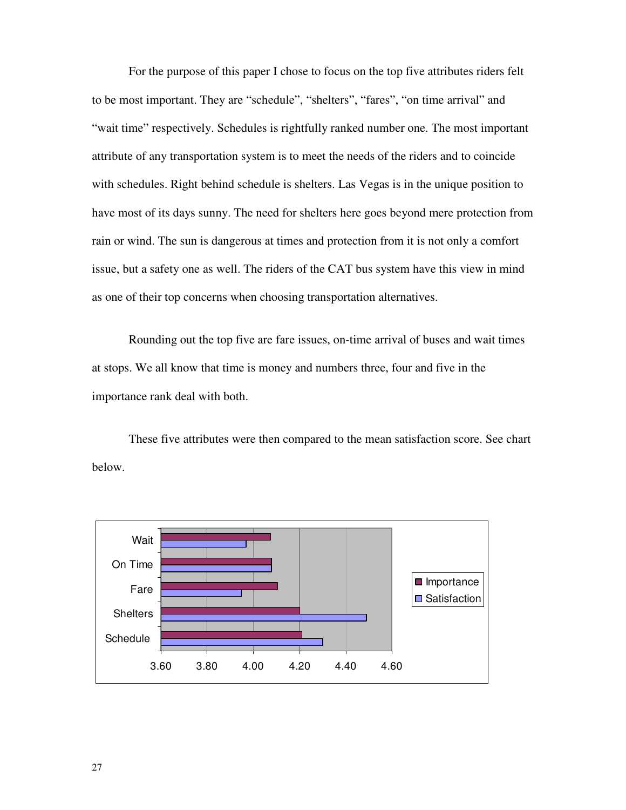For the purpose of this paper I chose to focus on the top five attributes riders felt to be most important. They are "schedule", "shelters", "fares", "on time arrival" and "wait time" respectively. Schedules is rightfully ranked number one. The most important attribute of any transportation system is to meet the needs of the riders and to coincide with schedules. Right behind schedule is shelters. Las Vegas is in the unique position to have most of its days sunny. The need for shelters here goes beyond mere protection from rain or wind. The sun is dangerous at times and protection from it is not only a comfort issue, but a safety one as well. The riders of the CAT bus system have this view in mind as one of their top concerns when choosing transportation alternatives.

 Rounding out the top five are fare issues, on-time arrival of buses and wait times at stops. We all know that time is money and numbers three, four and five in the importance rank deal with both.

 These five attributes were then compared to the mean satisfaction score. See chart below.

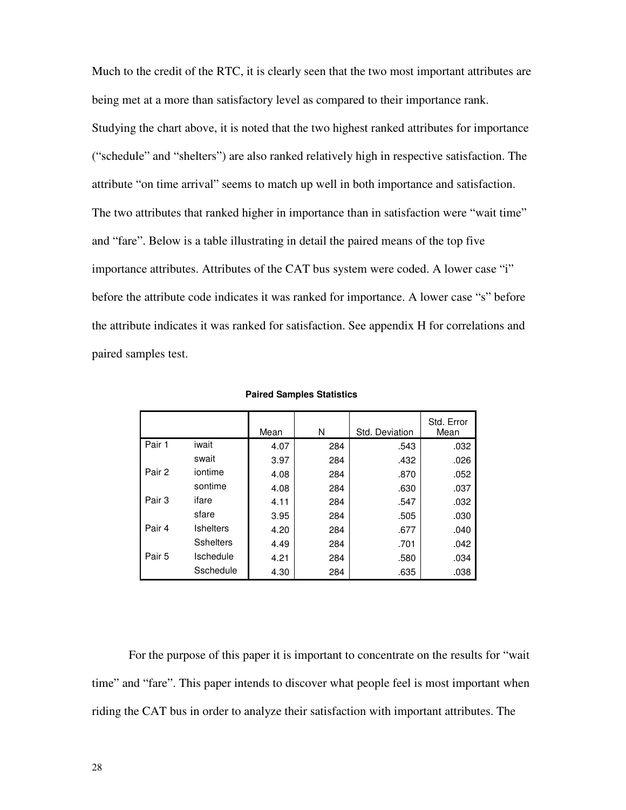Much to the credit of the RTC, it is clearly seen that the two most important attributes are being met at a more than satisfactory level as compared to their importance rank. Studying the chart above, it is noted that the two highest ranked attributes for importance ("schedule" and "shelters") are also ranked relatively high in respective satisfaction. The attribute "on time arrival" seems to match up well in both importance and satisfaction. The two attributes that ranked higher in importance than in satisfaction were "wait time" and "fare". Below is a table illustrating in detail the paired means of the top five importance attributes. Attributes of the CAT bus system were coded. A lower case "i" before the attribute code indicates it was ranked for importance. A lower case "s" before the attribute indicates it was ranked for satisfaction. See appendix H for correlations and paired samples test.

|        |                  | Mean | N   | Std. Deviation | Std. Error<br>Mean |
|--------|------------------|------|-----|----------------|--------------------|
| Pair 1 | iwait            | 4.07 | 284 | .543           | .032               |
|        | swait            | 3.97 | 284 | .432           | .026               |
| Pair 2 | iontime          | 4.08 | 284 | .870           | .052               |
|        | sontime          | 4.08 | 284 | .630           | .037               |
| Pair 3 | ifare            | 4.11 | 284 | .547           | .032               |
|        | sfare            | 3.95 | 284 | .505           | .030               |
| Pair 4 | <b>Ishelters</b> | 4.20 | 284 | .677           | .040               |
|        | <b>Sshelters</b> | 4.49 | 284 | .701           | .042               |
| Pair 5 | Ischedule        | 4.21 | 284 | .580           | .034               |
|        | Sschedule        | 4.30 | 284 | .635           | .038               |

 **Paired Samples Statistics** 

For the purpose of this paper it is important to concentrate on the results for "wait time" and "fare". This paper intends to discover what people feel is most important when riding the CAT bus in order to analyze their satisfaction with important attributes. The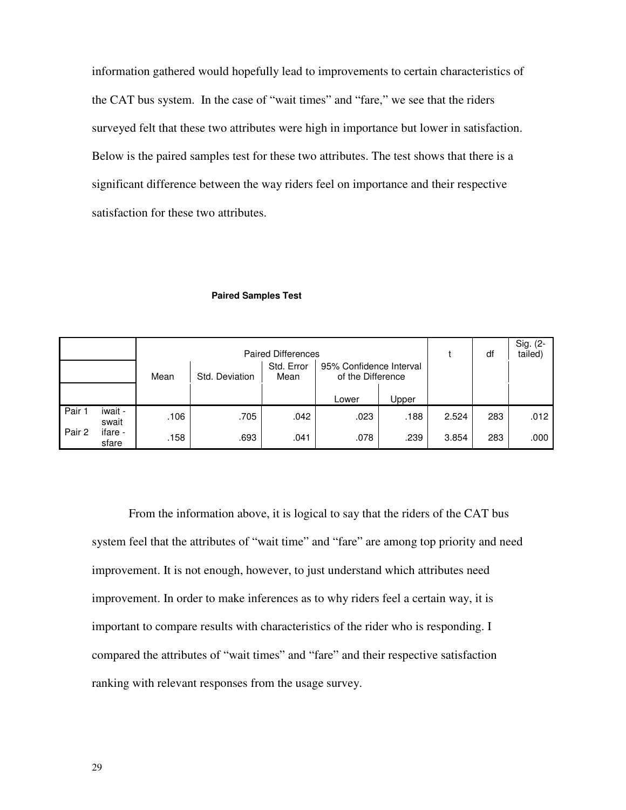information gathered would hopefully lead to improvements to certain characteristics of the CAT bus system. In the case of "wait times" and "fare," we see that the riders surveyed felt that these two attributes were high in importance but lower in satisfaction. Below is the paired samples test for these two attributes. The test shows that there is a significant difference between the way riders feel on importance and their respective satisfaction for these two attributes.

#### **Paired Samples Test**

|        |                  |      | <b>Paired Differences</b> |                    | df                                           | Sig. (2-<br>tailed) |       |     |      |
|--------|------------------|------|---------------------------|--------------------|----------------------------------------------|---------------------|-------|-----|------|
|        |                  | Mean | Std. Deviation            | Std. Error<br>Mean | 95% Confidence Interval<br>of the Difference |                     |       |     |      |
|        |                  |      |                           |                    | Lower                                        | Upper               |       |     |      |
| Pair 1 | iwait -<br>swait | .106 | .705                      | .042               | .023                                         | .188                | 2.524 | 283 | .012 |
| Pair 2 | ifare -<br>sfare | .158 | .693                      | .041               | .078                                         | .239                | 3.854 | 283 | .000 |

From the information above, it is logical to say that the riders of the CAT bus system feel that the attributes of "wait time" and "fare" are among top priority and need improvement. It is not enough, however, to just understand which attributes need improvement. In order to make inferences as to why riders feel a certain way, it is important to compare results with characteristics of the rider who is responding. I compared the attributes of "wait times" and "fare" and their respective satisfaction ranking with relevant responses from the usage survey.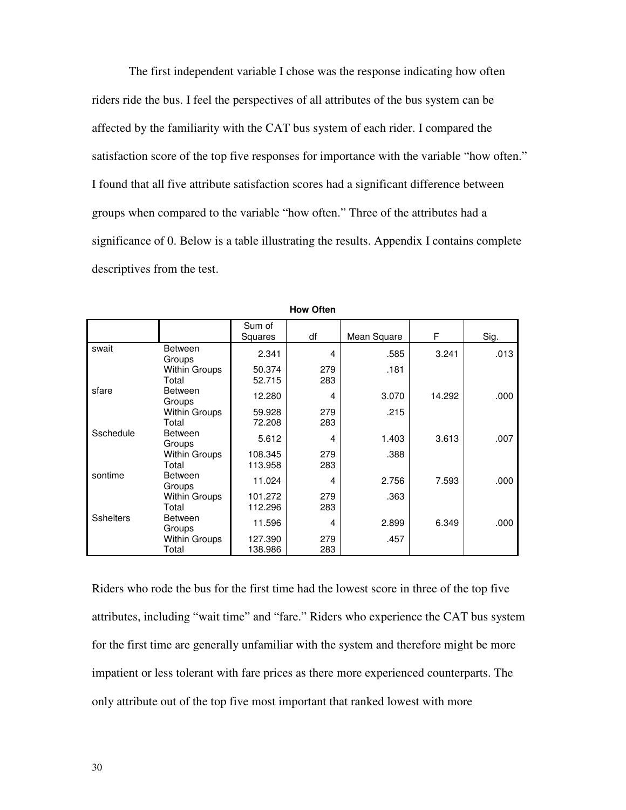The first independent variable I chose was the response indicating how often riders ride the bus. I feel the perspectives of all attributes of the bus system can be affected by the familiarity with the CAT bus system of each rider. I compared the satisfaction score of the top five responses for importance with the variable "how often." I found that all five attribute satisfaction scores had a significant difference between groups when compared to the variable "how often." Three of the attributes had a significance of 0. Below is a table illustrating the results. Appendix I contains complete descriptives from the test.

|                  |                          | Sum of<br>Squares | df  | Mean Square | F      | Sig. |
|------------------|--------------------------|-------------------|-----|-------------|--------|------|
| swait            | <b>Between</b><br>Groups | 2.341             | 4   | .585        | 3.241  | .013 |
|                  | <b>Within Groups</b>     | 50.374            | 279 | .181        |        |      |
|                  | Total                    | 52.715            | 283 |             |        |      |
| sfare            | <b>Between</b><br>Groups | 12.280            | 4   | 3.070       | 14.292 | .000 |
|                  | <b>Within Groups</b>     | 59.928            | 279 | .215        |        |      |
|                  | Total                    | 72.208            | 283 |             |        |      |
| Sschedule        | <b>Between</b><br>Groups | 5.612             | 4   | 1.403       | 3.613  | .007 |
|                  | Within Groups            | 108.345           | 279 | .388        |        |      |
|                  | Total                    | 113.958           | 283 |             |        |      |
| sontime          | <b>Between</b><br>Groups | 11.024            | 4   | 2.756       | 7.593  | .000 |
|                  | <b>Within Groups</b>     | 101.272           | 279 | .363        |        |      |
|                  | Total                    | 112.296           | 283 |             |        |      |
| <b>Sshelters</b> | <b>Between</b><br>Groups | 11.596            | 4   | 2.899       | 6.349  | .000 |
|                  | <b>Within Groups</b>     | 127.390           | 279 | .457        |        |      |
|                  | Total                    | 138.986           | 283 |             |        |      |

**How Often** 

Riders who rode the bus for the first time had the lowest score in three of the top five attributes, including "wait time" and "fare." Riders who experience the CAT bus system for the first time are generally unfamiliar with the system and therefore might be more impatient or less tolerant with fare prices as there more experienced counterparts. The only attribute out of the top five most important that ranked lowest with more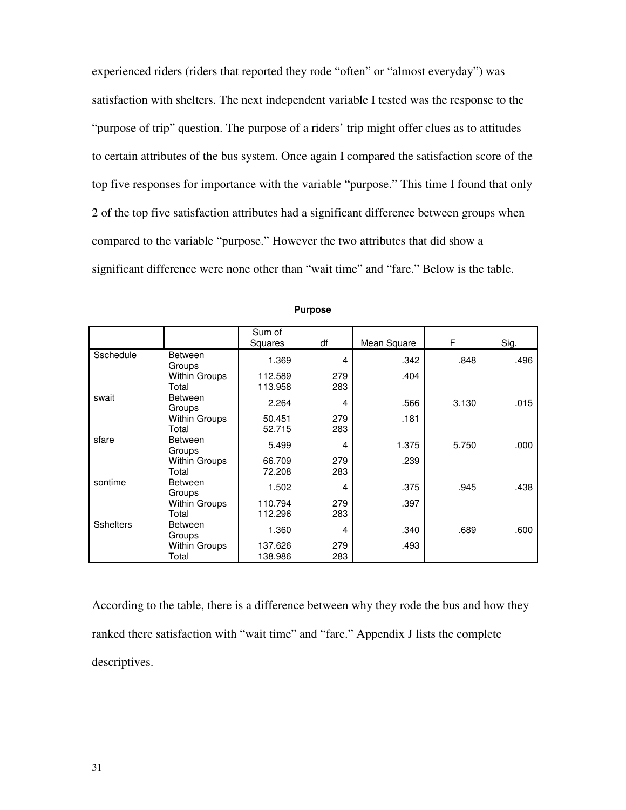experienced riders (riders that reported they rode "often" or "almost everyday") was satisfaction with shelters. The next independent variable I tested was the response to the "purpose of trip" question. The purpose of a riders' trip might offer clues as to attitudes to certain attributes of the bus system. Once again I compared the satisfaction score of the top five responses for importance with the variable "purpose." This time I found that only 2 of the top five satisfaction attributes had a significant difference between groups when compared to the variable "purpose." However the two attributes that did show a significant difference were none other than "wait time" and "fare." Below is the table.

|                  |                          | Sum of<br>Squares | df  | Mean Square | F     | Sig. |
|------------------|--------------------------|-------------------|-----|-------------|-------|------|
| Sschedule        | <b>Between</b><br>Groups | 1.369             | 4   | .342        | .848  | .496 |
|                  | Within Groups            | 112.589           | 279 | .404        |       |      |
|                  | Total                    | 113.958           | 283 |             |       |      |
| swait            | <b>Between</b><br>Groups | 2.264             | 4   | .566        | 3.130 | .015 |
|                  | Within Groups            | 50.451            | 279 | .181        |       |      |
|                  | Total                    | 52.715            | 283 |             |       |      |
| sfare            | <b>Between</b><br>Groups | 5.499             | 4   | 1.375       | 5.750 | .000 |
|                  | <b>Within Groups</b>     | 66.709            | 279 | .239        |       |      |
|                  | Total                    | 72.208            | 283 |             |       |      |
| sontime          | <b>Between</b><br>Groups | 1.502             | 4   | .375        | .945  | .438 |
|                  | Within Groups            | 110.794           | 279 | .397        |       |      |
|                  | Total                    | 112.296           | 283 |             |       |      |
| <b>Sshelters</b> | <b>Between</b><br>Groups | 1.360             | 4   | .340        | .689  | .600 |
|                  | Within Groups            | 137.626           | 279 | .493        |       |      |
|                  | Total                    | 138.986           | 283 |             |       |      |

**Purpose** 

According to the table, there is a difference between why they rode the bus and how they ranked there satisfaction with "wait time" and "fare." Appendix J lists the complete descriptives.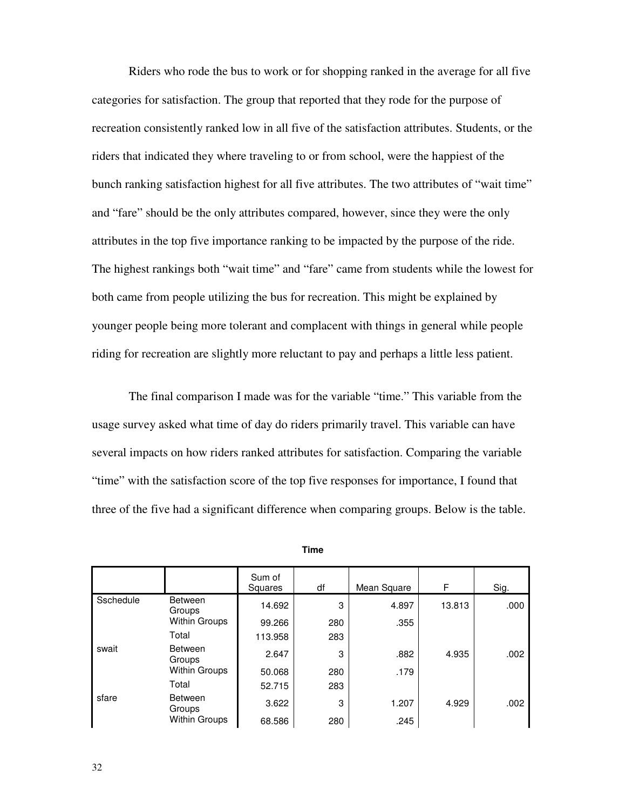Riders who rode the bus to work or for shopping ranked in the average for all five categories for satisfaction. The group that reported that they rode for the purpose of recreation consistently ranked low in all five of the satisfaction attributes. Students, or the riders that indicated they where traveling to or from school, were the happiest of the bunch ranking satisfaction highest for all five attributes. The two attributes of "wait time" and "fare" should be the only attributes compared, however, since they were the only attributes in the top five importance ranking to be impacted by the purpose of the ride. The highest rankings both "wait time" and "fare" came from students while the lowest for both came from people utilizing the bus for recreation. This might be explained by younger people being more tolerant and complacent with things in general while people riding for recreation are slightly more reluctant to pay and perhaps a little less patient.

 The final comparison I made was for the variable "time." This variable from the usage survey asked what time of day do riders primarily travel. This variable can have several impacts on how riders ranked attributes for satisfaction. Comparing the variable "time" with the satisfaction score of the top five responses for importance, I found that three of the five had a significant difference when comparing groups. Below is the table.

|           |                          | Sum of<br>Squares | df  | Mean Square | F      | Sig. |
|-----------|--------------------------|-------------------|-----|-------------|--------|------|
| Sschedule | <b>Between</b><br>Groups | 14.692            | 3   | 4.897       | 13.813 | .000 |
|           | <b>Within Groups</b>     | 99.266            | 280 | .355        |        |      |
|           | Total                    | 113.958           | 283 |             |        |      |
| swait     | <b>Between</b><br>Groups | 2.647             | 3   | .882        | 4.935  | .002 |
|           | <b>Within Groups</b>     | 50.068            | 280 | .179        |        |      |
|           | Total                    | 52.715            | 283 |             |        |      |
| sfare     | <b>Between</b><br>Groups | 3.622             | 3   | 1.207       | 4.929  | .002 |
|           | <b>Within Groups</b>     | 68.586            | 280 | .245        |        |      |

**Time**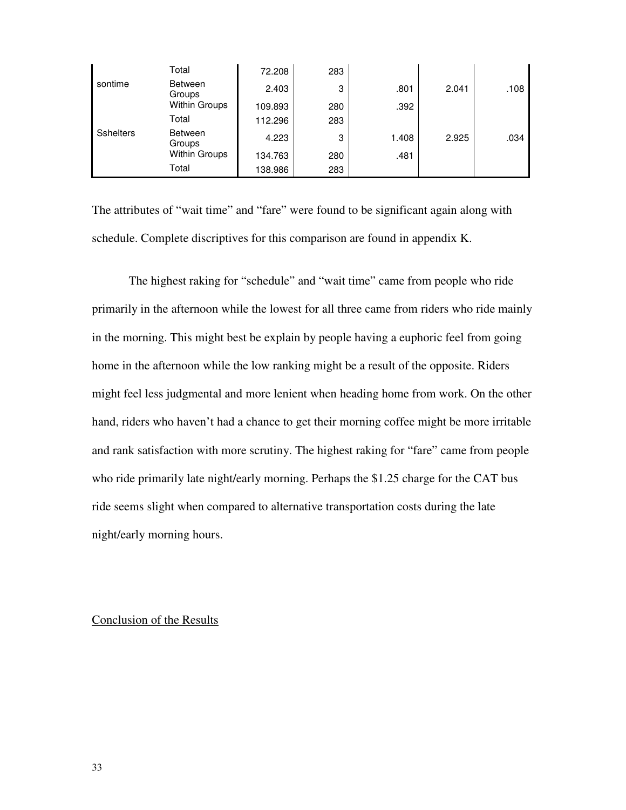|                  | Total                    | 72.208  | 283 |       |       |      |
|------------------|--------------------------|---------|-----|-------|-------|------|
| sontime          | Between<br>Groups        | 2.403   | 3   | .801  | 2.041 | .108 |
|                  | <b>Within Groups</b>     | 109.893 | 280 | .392  |       |      |
|                  | Total                    | 112.296 | 283 |       |       |      |
| <b>Sshelters</b> | <b>Between</b><br>Groups | 4.223   | 3   | 1.408 | 2.925 | .034 |
|                  | <b>Within Groups</b>     | 134.763 | 280 | .481  |       |      |
|                  | Total                    | 138.986 | 283 |       |       |      |

The attributes of "wait time" and "fare" were found to be significant again along with schedule. Complete discriptives for this comparison are found in appendix K.

 The highest raking for "schedule" and "wait time" came from people who ride primarily in the afternoon while the lowest for all three came from riders who ride mainly in the morning. This might best be explain by people having a euphoric feel from going home in the afternoon while the low ranking might be a result of the opposite. Riders might feel less judgmental and more lenient when heading home from work. On the other hand, riders who haven't had a chance to get their morning coffee might be more irritable and rank satisfaction with more scrutiny. The highest raking for "fare" came from people who ride primarily late night/early morning. Perhaps the \$1.25 charge for the CAT bus ride seems slight when compared to alternative transportation costs during the late night/early morning hours.

#### Conclusion of the Results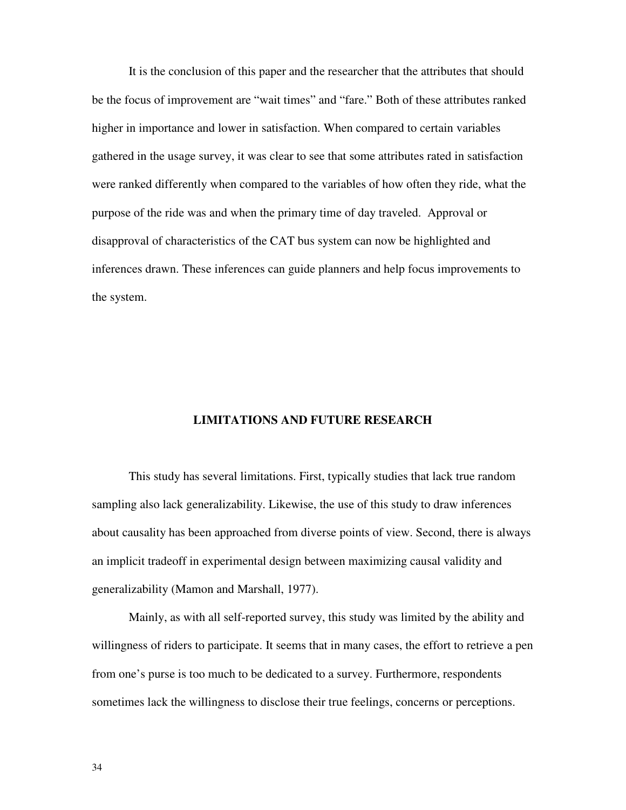It is the conclusion of this paper and the researcher that the attributes that should be the focus of improvement are "wait times" and "fare." Both of these attributes ranked higher in importance and lower in satisfaction. When compared to certain variables gathered in the usage survey, it was clear to see that some attributes rated in satisfaction were ranked differently when compared to the variables of how often they ride, what the purpose of the ride was and when the primary time of day traveled. Approval or disapproval of characteristics of the CAT bus system can now be highlighted and inferences drawn. These inferences can guide planners and help focus improvements to the system.

#### **LIMITATIONS AND FUTURE RESEARCH**

This study has several limitations. First, typically studies that lack true random sampling also lack generalizability. Likewise, the use of this study to draw inferences about causality has been approached from diverse points of view. Second, there is always an implicit tradeoff in experimental design between maximizing causal validity and generalizability (Mamon and Marshall, 1977).

 Mainly, as with all self-reported survey, this study was limited by the ability and willingness of riders to participate. It seems that in many cases, the effort to retrieve a pen from one's purse is too much to be dedicated to a survey. Furthermore, respondents sometimes lack the willingness to disclose their true feelings, concerns or perceptions.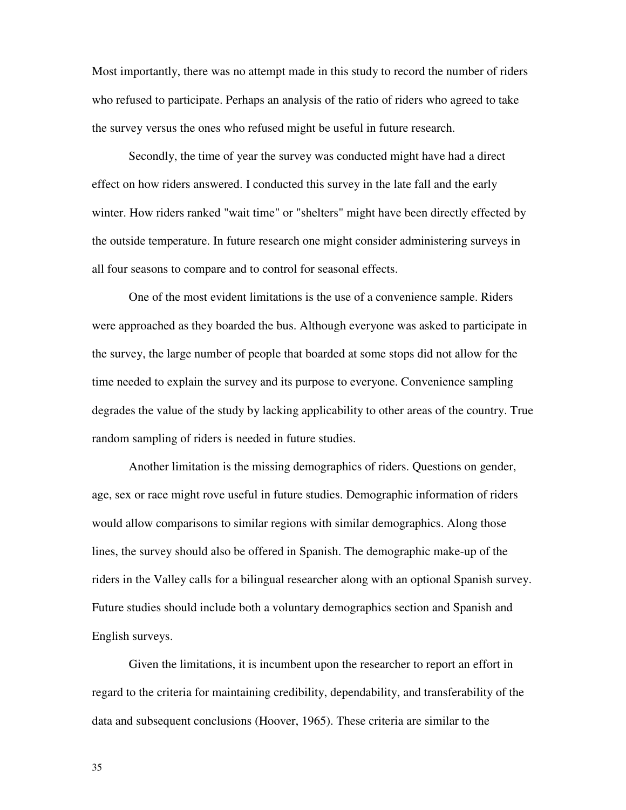Most importantly, there was no attempt made in this study to record the number of riders who refused to participate. Perhaps an analysis of the ratio of riders who agreed to take the survey versus the ones who refused might be useful in future research.

 Secondly, the time of year the survey was conducted might have had a direct effect on how riders answered. I conducted this survey in the late fall and the early winter. How riders ranked "wait time" or "shelters" might have been directly effected by the outside temperature. In future research one might consider administering surveys in all four seasons to compare and to control for seasonal effects.

One of the most evident limitations is the use of a convenience sample. Riders were approached as they boarded the bus. Although everyone was asked to participate in the survey, the large number of people that boarded at some stops did not allow for the time needed to explain the survey and its purpose to everyone. Convenience sampling degrades the value of the study by lacking applicability to other areas of the country. True random sampling of riders is needed in future studies.

Another limitation is the missing demographics of riders. Questions on gender, age, sex or race might rove useful in future studies. Demographic information of riders would allow comparisons to similar regions with similar demographics. Along those lines, the survey should also be offered in Spanish. The demographic make-up of the riders in the Valley calls for a bilingual researcher along with an optional Spanish survey. Future studies should include both a voluntary demographics section and Spanish and English surveys.

Given the limitations, it is incumbent upon the researcher to report an effort in regard to the criteria for maintaining credibility, dependability, and transferability of the data and subsequent conclusions (Hoover, 1965). These criteria are similar to the

35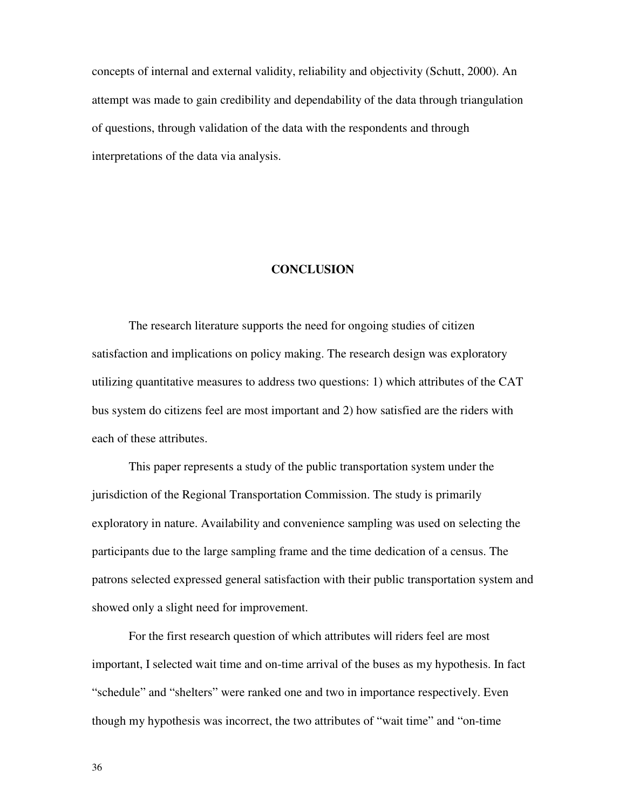concepts of internal and external validity, reliability and objectivity (Schutt, 2000). An attempt was made to gain credibility and dependability of the data through triangulation of questions, through validation of the data with the respondents and through interpretations of the data via analysis.

#### **CONCLUSION**

The research literature supports the need for ongoing studies of citizen satisfaction and implications on policy making. The research design was exploratory utilizing quantitative measures to address two questions: 1) which attributes of the CAT bus system do citizens feel are most important and 2) how satisfied are the riders with each of these attributes.

This paper represents a study of the public transportation system under the jurisdiction of the Regional Transportation Commission. The study is primarily exploratory in nature. Availability and convenience sampling was used on selecting the participants due to the large sampling frame and the time dedication of a census. The patrons selected expressed general satisfaction with their public transportation system and showed only a slight need for improvement.

For the first research question of which attributes will riders feel are most important, I selected wait time and on-time arrival of the buses as my hypothesis. In fact "schedule" and "shelters" were ranked one and two in importance respectively. Even though my hypothesis was incorrect, the two attributes of "wait time" and "on-time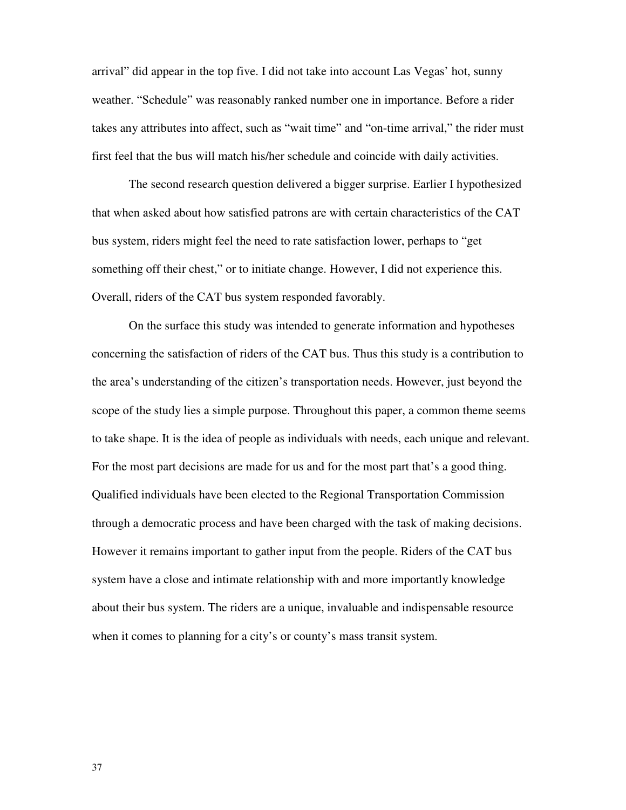arrival" did appear in the top five. I did not take into account Las Vegas' hot, sunny weather. "Schedule" was reasonably ranked number one in importance. Before a rider takes any attributes into affect, such as "wait time" and "on-time arrival," the rider must first feel that the bus will match his/her schedule and coincide with daily activities.

The second research question delivered a bigger surprise. Earlier I hypothesized that when asked about how satisfied patrons are with certain characteristics of the CAT bus system, riders might feel the need to rate satisfaction lower, perhaps to "get something off their chest," or to initiate change. However, I did not experience this. Overall, riders of the CAT bus system responded favorably.

On the surface this study was intended to generate information and hypotheses concerning the satisfaction of riders of the CAT bus. Thus this study is a contribution to the area's understanding of the citizen's transportation needs. However, just beyond the scope of the study lies a simple purpose. Throughout this paper, a common theme seems to take shape. It is the idea of people as individuals with needs, each unique and relevant. For the most part decisions are made for us and for the most part that's a good thing. Qualified individuals have been elected to the Regional Transportation Commission through a democratic process and have been charged with the task of making decisions. However it remains important to gather input from the people. Riders of the CAT bus system have a close and intimate relationship with and more importantly knowledge about their bus system. The riders are a unique, invaluable and indispensable resource when it comes to planning for a city's or county's mass transit system.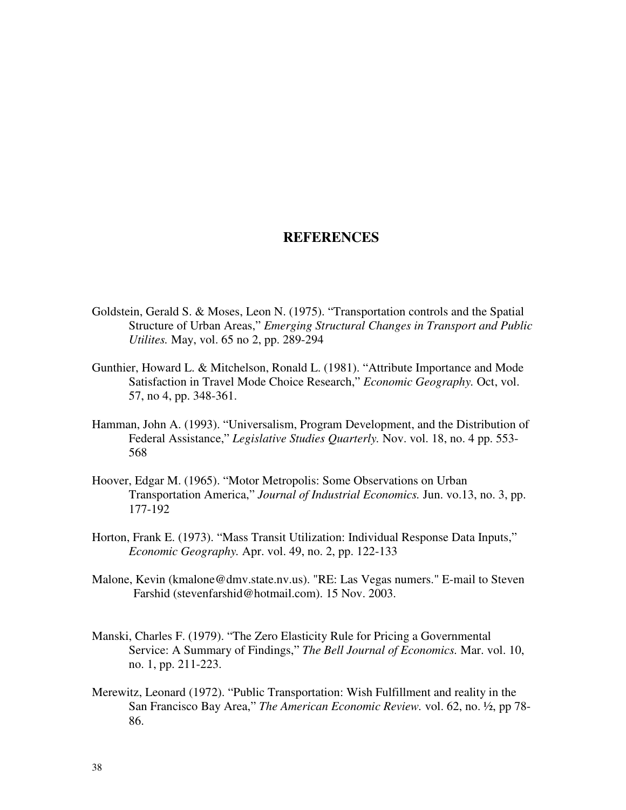## **REFERENCES**

- Goldstein, Gerald S. & Moses, Leon N. (1975). "Transportation controls and the Spatial Structure of Urban Areas," *Emerging Structural Changes in Transport and Public Utilites.* May, vol. 65 no 2, pp. 289-294
- Gunthier, Howard L. & Mitchelson, Ronald L. (1981). "Attribute Importance and Mode Satisfaction in Travel Mode Choice Research," *Economic Geography.* Oct, vol. 57, no 4, pp. 348-361.
- Hamman, John A. (1993). "Universalism, Program Development, and the Distribution of Federal Assistance," *Legislative Studies Quarterly.* Nov. vol. 18, no. 4 pp. 553- 568
- Hoover, Edgar M. (1965). "Motor Metropolis: Some Observations on Urban Transportation America," *Journal of Industrial Economics.* Jun. vo.13, no. 3, pp. 177-192
- Horton, Frank E. (1973). "Mass Transit Utilization: Individual Response Data Inputs," *Economic Geography.* Apr. vol. 49, no. 2, pp. 122-133
- Malone, Kevin (kmalone@dmv.state.nv.us). "RE: Las Vegas numers." E-mail to Steven Farshid (stevenfarshid@hotmail.com). 15 Nov. 2003.
- Manski, Charles F. (1979). "The Zero Elasticity Rule for Pricing a Governmental Service: A Summary of Findings," *The Bell Journal of Economics.* Mar. vol. 10, no. 1, pp. 211-223.
- Merewitz, Leonard (1972). "Public Transportation: Wish Fulfillment and reality in the San Francisco Bay Area," *The American Economic Review.* vol. 62, no. ½, pp 78- 86.